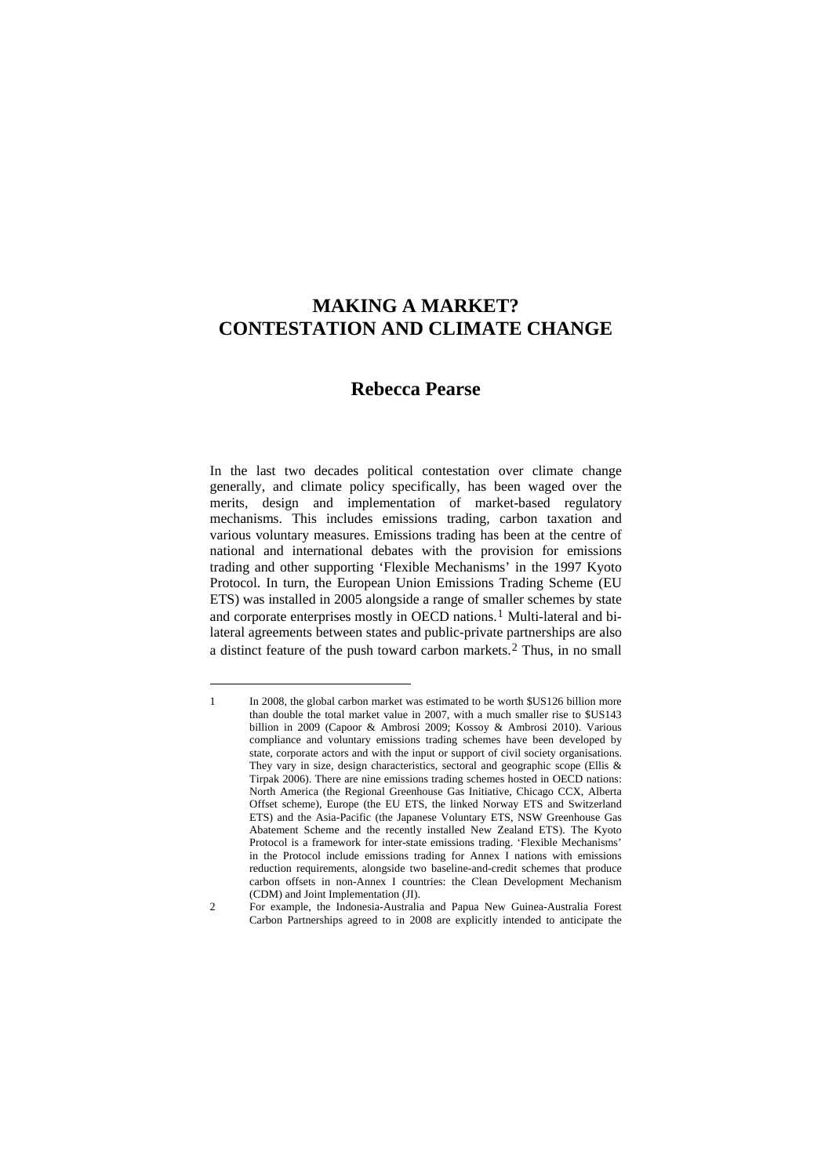# <span id="page-0-2"></span>**MAKING A MARKET? CONTESTATION AND CLIMATE CHANGE**

## **Rebecca Pearse**

In the last two decades political contestation over climate change generally, and climate policy specifically, has been waged over the merits, design and implementation of market-based regulatory mechanisms. This includes emissions trading, carbon taxation and various voluntary measures. Emissions trading has been at the centre of national and international debates with the provision for emissions trading and other supporting 'Flexible Mechanisms' in the 1997 Kyoto Protocol. In turn, the European Union Emissions Trading Scheme (EU ETS) was installed in 2005 alongside a range of smaller schemes by state and corporate enterprises mostly in OECD nations.<sup>[1](#page-0-0)</sup> Multi-lateral and bilateral agreements between states and public-private partnerships are also a distinct feature of the push toward carbon markets.[2](#page-0-1) Thus, in no small

<span id="page-0-0"></span><sup>1</sup> In 2008, the global carbon market was estimated to be worth \$US126 billion more than double the total market value in 2007, with a much smaller rise to \$US143 billion in 2009 ([Capoor & Ambrosi 2009](#page-0-2); [Kossoy & Ambrosi 2010\)](#page-0-2). Various compliance and voluntary emissions trading schemes have been developed by state, corporate actors and with the input or support of civil society organisations. They vary in size, design characteristics, sectoral and geographic scope [\(Ellis &](#page-0-2)  [Tirpak 2006\)](#page-0-2). There are nine emissions trading schemes hosted in OECD nations: North America (the Regional Greenhouse Gas Initiative, Chicago CCX, Alberta Offset scheme), Europe (the EU ETS, the linked Norway ETS and Switzerland ETS) and the Asia-Pacific (the Japanese Voluntary ETS, NSW Greenhouse Gas Abatement Scheme and the recently installed New Zealand ETS). The Kyoto Protocol is a framework for inter-state emissions trading. 'Flexible Mechanisms' in the Protocol include emissions trading for Annex  $\overline{I}$  nations with emissions reduction requirements, alongside two baseline-and-credit schemes that produce carbon offsets in non-Annex I countries: the Clean Development Mechanism (CDM) and Joint Implementation (JI).

<span id="page-0-1"></span><sup>2</sup> For example, the Indonesia-Australia and Papua New Guinea-Australia Forest Carbon Partnerships agreed to in 2008 are explicitly intended to anticipate the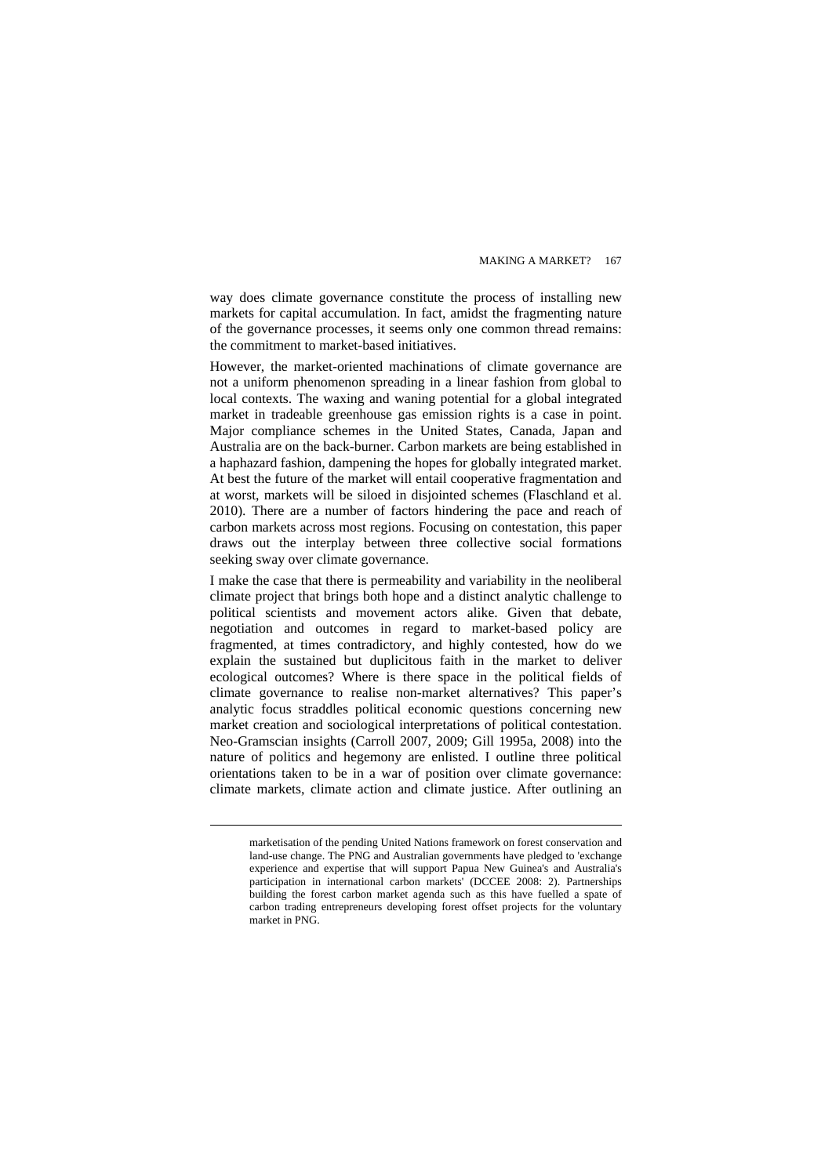way does climate governance constitute the process of installing new markets for capital accumulation. In fact, amidst the fragmenting nature of the governance processes, it seems only one common thread remains: the commitment to market-based initiatives.

However, the market-oriented machinations of climate governance are not a uniform phenomenon spreading in a linear fashion from global to local contexts. The waxing and waning potential for a global integrated market in tradeable greenhouse gas emission rights is a case in point. Major compliance schemes in the United States, Canada, Japan and Australia are on the back-burner. Carbon markets are being established in a haphazard fashion, dampening the hopes for globally integrated market. At best the future of the market will entail cooperative fragmentation and at worst, markets will be siloed in disjointed schemes [\(Flaschland et al.](#page-0-2)  [2010](#page-0-2)). There are a number of factors hindering the pace and reach of carbon markets across most regions. Focusing on contestation, this paper draws out the interplay between three collective social formations seeking sway over climate governance.

I make the case that there is permeability and variability in the neoliberal climate project that brings both hope and a distinct analytic challenge to political scientists and movement actors alike. Given that debate, negotiation and outcomes in regard to market-based policy are fragmented, at times contradictory, and highly contested, how do we explain the sustained but duplicitous faith in the market to deliver ecological outcomes? Where is there space in the political fields of climate governance to realise non-market alternatives? This paper's analytic focus straddles political economic questions concerning new market creation and sociological interpretations of political contestation. Neo-Gramscian insights ([Carroll 2007](#page-0-2), [2009](#page-0-2); [Gill 1995a,](#page-0-2) [2008](#page-0-2)) into the nature of politics and hegemony are enlisted. I outline three political orientations taken to be in a war of position over climate governance: climate markets, climate action and climate justice. After outlining an

marketisation of the pending United Nations framework on forest conservation and land-use change. The PNG and Australian governments have pledged to 'exchange experience and expertise that will support Papua New Guinea's and Australia's participation in international carbon markets' [\(DCCEE 2008: 2\)](#page-0-2). Partnerships building the forest carbon market agenda such as this have fuelled a spate of carbon trading entrepreneurs developing forest offset projects for the voluntary market in PNG.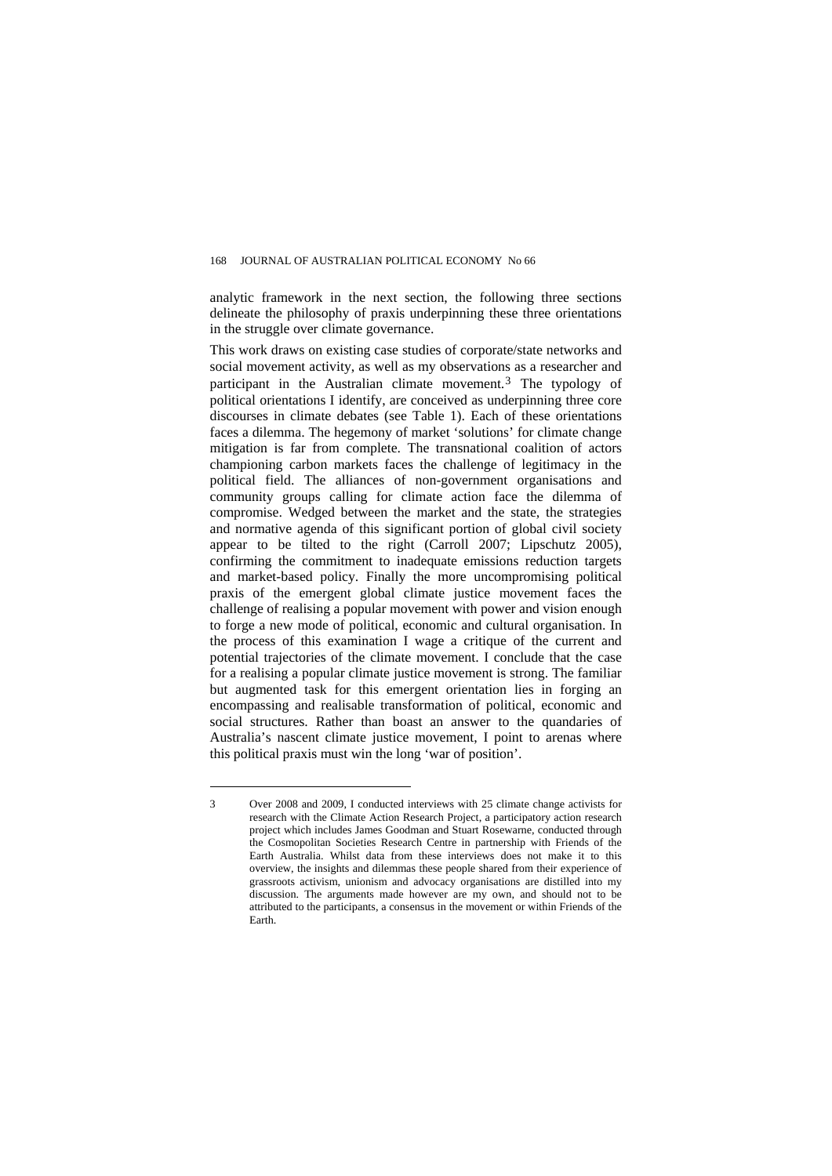analytic framework in the next section, the following three sections delineate the philosophy of praxis underpinning these three orientations in the struggle over climate governance.

This work draws on existing case studies of corporate/state networks and social movement activity, as well as my observations as a researcher and participant in the Australian climate movement.[3](#page-2-0) The typology of political orientations I identify, are conceived as underpinning three core discourses in climate debates (see Table 1). Each of these orientations faces a dilemma. The hegemony of market 'solutions' for climate change mitigation is far from complete. The transnational coalition of actors championing carbon markets faces the challenge of legitimacy in the political field. The alliances of non-government organisations and community groups calling for climate action face the dilemma of compromise. Wedged between the market and the state, the strategies and normative agenda of this significant portion of global civil society appear to be tilted to the right [\(Carroll 2007;](#page-0-2) [Lipschutz 2005](#page-0-2)), confirming the commitment to inadequate emissions reduction targets and market-based policy. Finally the more uncompromising political praxis of the emergent global climate justice movement faces the challenge of realising a popular movement with power and vision enough to forge a new mode of political, economic and cultural organisation. In the process of this examination I wage a critique of the current and potential trajectories of the climate movement. I conclude that the case for a realising a popular climate justice movement is strong. The familiar but augmented task for this emergent orientation lies in forging an encompassing and realisable transformation of political, economic and social structures. Rather than boast an answer to the quandaries of Australia's nascent climate justice movement, I point to arenas where this political praxis must win the long 'war of position'.

<span id="page-2-0"></span><sup>3</sup> Over 2008 and 2009, I conducted interviews with 25 climate change activists for research with the Climate Action Research Project, a participatory action research project which includes James Goodman and Stuart Rosewarne, conducted through the Cosmopolitan Societies Research Centre in partnership with Friends of the Earth Australia. Whilst data from these interviews does not make it to this overview, the insights and dilemmas these people shared from their experience of grassroots activism, unionism and advocacy organisations are distilled into my discussion. The arguments made however are my own, and should not to be attributed to the participants, a consensus in the movement or within Friends of the Earth.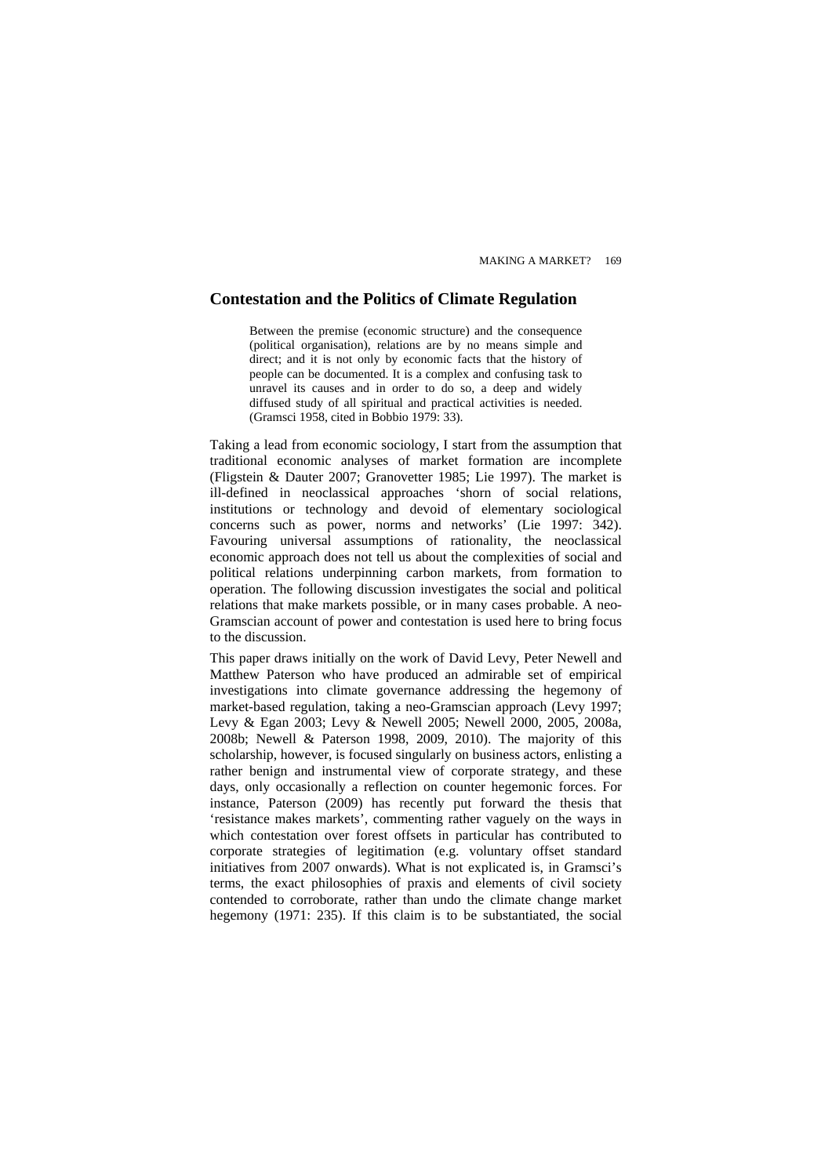## **Contestation and the Politics of Climate Regulation**

Between the premise (economic structure) and the consequence (political organisation), relations are by no means simple and direct; and it is not only by economic facts that the history of people can be documented. It is a complex and confusing task to unravel its causes and in order to do so, a deep and widely diffused study of all spiritual and practical activities is needed. ([Gramsci 1958, cited in Bobbio 1979: 33\)](#page-0-2).

Taking a lead from economic sociology, I start from the assumption that traditional economic analyses of market formation are incomplete ([Fligstein & Dauter 2007;](#page-0-2) [Granovetter 1985;](#page-0-2) [Lie 1997\)](#page-0-2). The market is ill-defined in neoclassical approaches 'shorn of social relations, institutions or technology and devoid of elementary sociological concerns such as power, norms and networks' ([Lie 1997: 342](#page-0-2)). Favouring universal assumptions of rationality, the neoclassical economic approach does not tell us about the complexities of social and political relations underpinning carbon markets, from formation to operation. The following discussion investigates the social and political relations that make markets possible, or in many cases probable. A neo-Gramscian account of power and contestation is used here to bring focus to the discussion.

This paper draws initially on the work of David Levy, Peter Newell and Matthew Paterson who have produced an admirable set of empirical investigations into climate governance addressing the hegemony of market-based regulation, taking a neo-Gramscian approach [\(Levy 1997](#page-0-2); [Levy & Egan 2003;](#page-0-2) [Levy & Newell 2005](#page-0-2); [Newell 2000,](#page-0-2) [2005,](#page-0-2) [2008a,](#page-0-2) [2008b](#page-0-2); [Newell & Paterson 1998](#page-0-2), [2009](#page-0-2), [2010](#page-0-2)). The majority of this scholarship, however, is focused singularly on business actors, enlisting a rather benign and instrumental view of corporate strategy, and these days, only occasionally a reflection on counter hegemonic forces. For instance, Paterson [\(2009](#page-0-2)) has recently put forward the thesis that 'resistance makes markets', commenting rather vaguely on the ways in which contestation over forest offsets in particular has contributed to corporate strategies of legitimation (e.g. voluntary offset standard initiatives from 2007 onwards). What is not explicated is, in Gramsci's terms, the exact philosophies of praxis and elements of civil society contended to corroborate, rather than undo the climate change market hegemony ([1971: 235](#page-0-2)). If this claim is to be substantiated, the social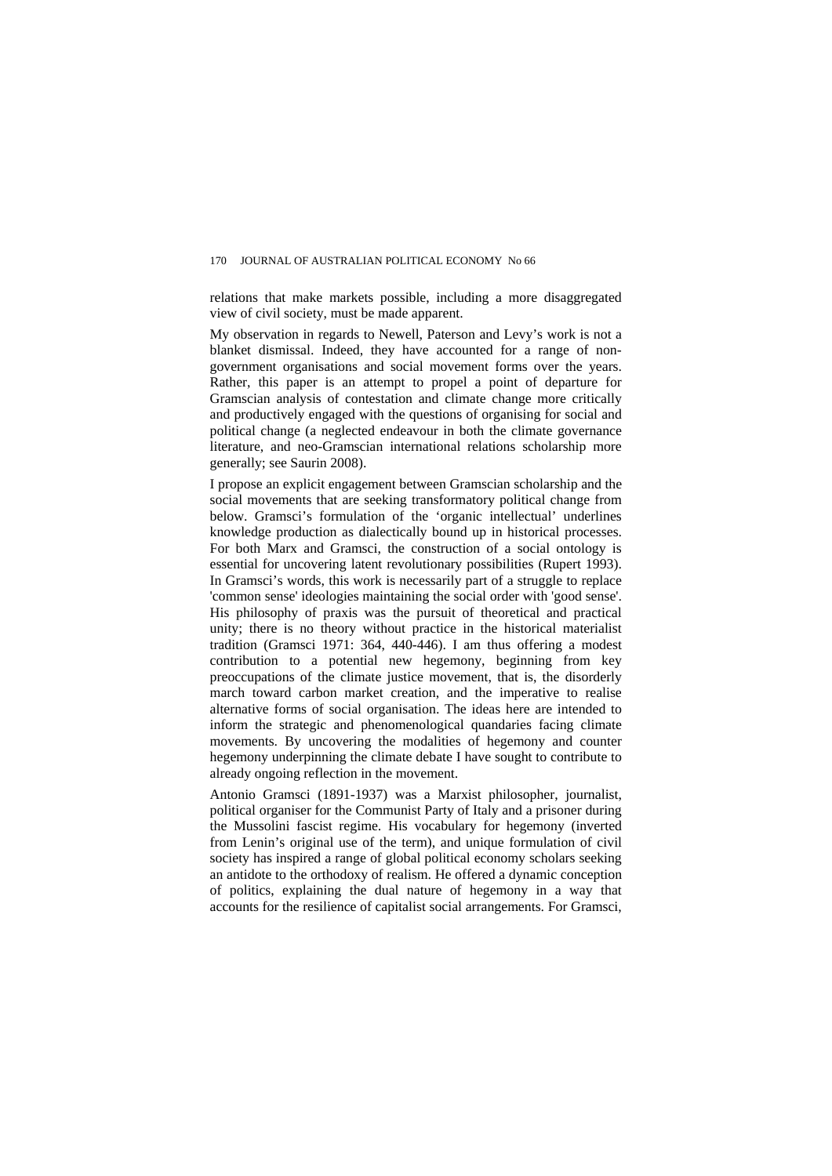relations that make markets possible, including a more disaggregated view of civil society, must be made apparent.

My observation in regards to Newell, Paterson and Levy's work is not a blanket dismissal. Indeed, they have accounted for a range of nongovernment organisations and social movement forms over the years. Rather, this paper is an attempt to propel a point of departure for Gramscian analysis of contestation and climate change more critically and productively engaged with the questions of organising for social and political change [\(a neglected endeavour in both the climate governance](#page-0-2)  [literature, and neo-Gramscian international relations scholarship more](#page-0-2)  [generally; see Saurin 2008\)](#page-0-2).

I propose an explicit engagement between Gramscian scholarship and the social movements that are seeking transformatory political change from below. Gramsci's formulation of the 'organic intellectual' underlines knowledge production as dialectically bound up in historical processes. For both Marx and Gramsci, the construction of a social ontology is essential for uncovering latent revolutionary possibilities ([Rupert 1993](#page-0-2)). In Gramsci's words, this work is necessarily part of a struggle to replace 'common sense' ideologies maintaining the social order with 'good sense'. His philosophy of praxis was the pursuit of theoretical and practical unity; there is no theory without practice in the historical materialist tradition [\(Gramsci 1971: 364, 440-446\)](#page-0-2). I am thus offering a modest contribution to a potential new hegemony, beginning from key preoccupations of the climate justice movement, that is, the disorderly march toward carbon market creation, and the imperative to realise alternative forms of social organisation. The ideas here are intended to inform the strategic and phenomenological quandaries facing climate movements. By uncovering the modalities of hegemony and counter hegemony underpinning the climate debate I have sought to contribute to already ongoing reflection in the movement.

Antonio Gramsci (1891-1937) was a Marxist philosopher, journalist, political organiser for the Communist Party of Italy and a prisoner during the Mussolini fascist regime. His vocabulary for hegemony (inverted from Lenin's original use of the term), and unique formulation of civil society has inspired a range of global political economy scholars seeking an antidote to the orthodoxy of realism. He offered a dynamic conception of politics, explaining the dual nature of hegemony in a way that accounts for the resilience of capitalist social arrangements. For Gramsci,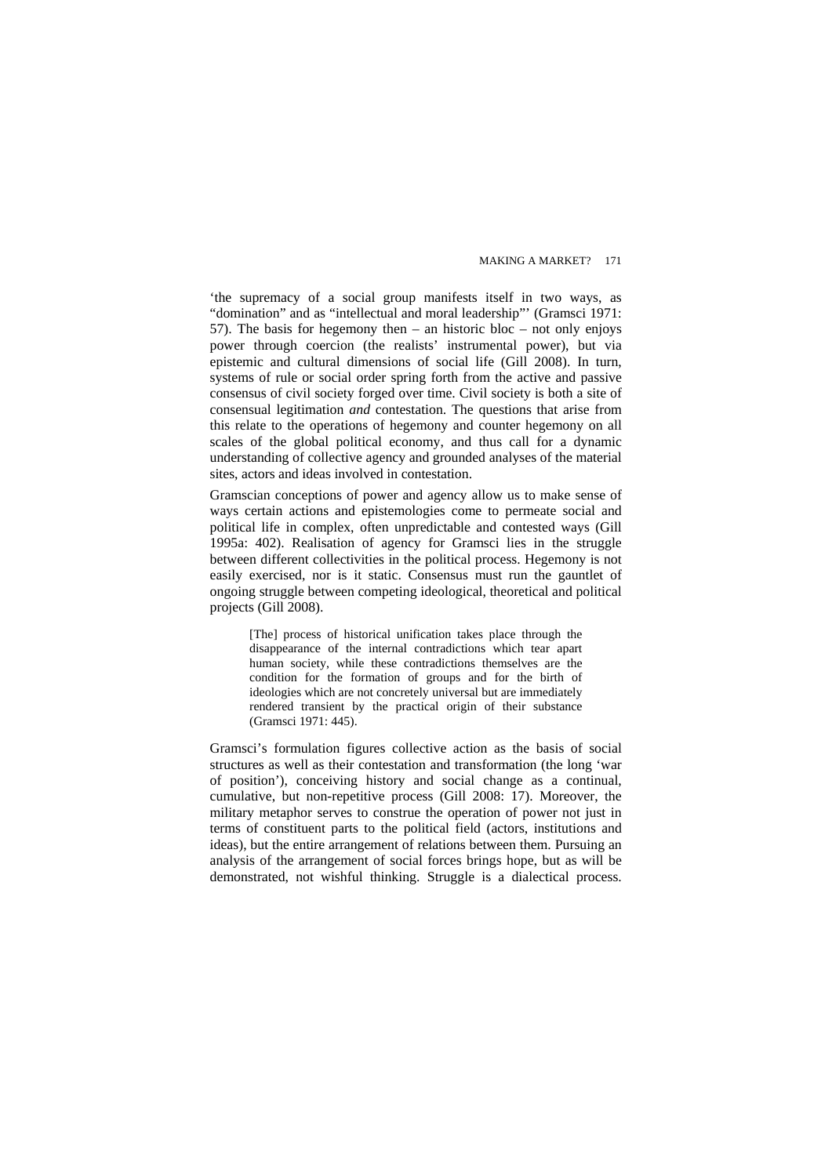'the supremacy of a social group manifests itself in two ways, as "domination" and as "intellectual and moral leadership"' ([Gramsci 1971:](#page-0-2)  [57](#page-0-2)). The basis for hegemony then  $-$  an historic bloc  $-$  not only enjoys power through coercion (the realists' instrumental power), but via epistemic and cultural dimensions of social life [\(Gill 2008\)](#page-0-2). In turn, systems of rule or social order spring forth from the active and passive consensus of civil society forged over time. Civil society is both a site of consensual legitimation *and* contestation. The questions that arise from this relate to the operations of hegemony and counter hegemony on all scales of the global political economy, and thus call for a dynamic understanding of collective agency and grounded analyses of the material sites, actors and ideas involved in contestation.

Gramscian conceptions of power and agency allow us to make sense of ways certain actions and epistemologies come to permeate social and political life in complex, often unpredictable and contested ways ([Gill](#page-0-2)  [1995a: 402\)](#page-0-2). Realisation of agency for Gramsci lies in the struggle between different collectivities in the political process. Hegemony is not easily exercised, nor is it static. Consensus must run the gauntlet of ongoing struggle between competing ideological, theoretical and political projects ([Gill 2008\)](#page-0-2).

[The] process of historical unification takes place through the disappearance of the internal contradictions which tear apart human society, while these contradictions themselves are the condition for the formation of groups and for the birth of ideologies which are not concretely universal but are immediately rendered transient by the practical origin of their substance ([Gramsci 1971: 445\)](#page-0-2).

Gramsci's formulation figures collective action as the basis of social structures as well as their contestation and transformation (the long 'war of position'), conceiving history and social change as a continual, cumulative, but non-repetitive process [\(Gill 2008: 17\)](#page-0-2). Moreover, the military metaphor serves to construe the operation of power not just in terms of constituent parts to the political field (actors, institutions and ideas), but the entire arrangement of relations between them. Pursuing an analysis of the arrangement of social forces brings hope, but as will be demonstrated, not wishful thinking. Struggle is a dialectical process.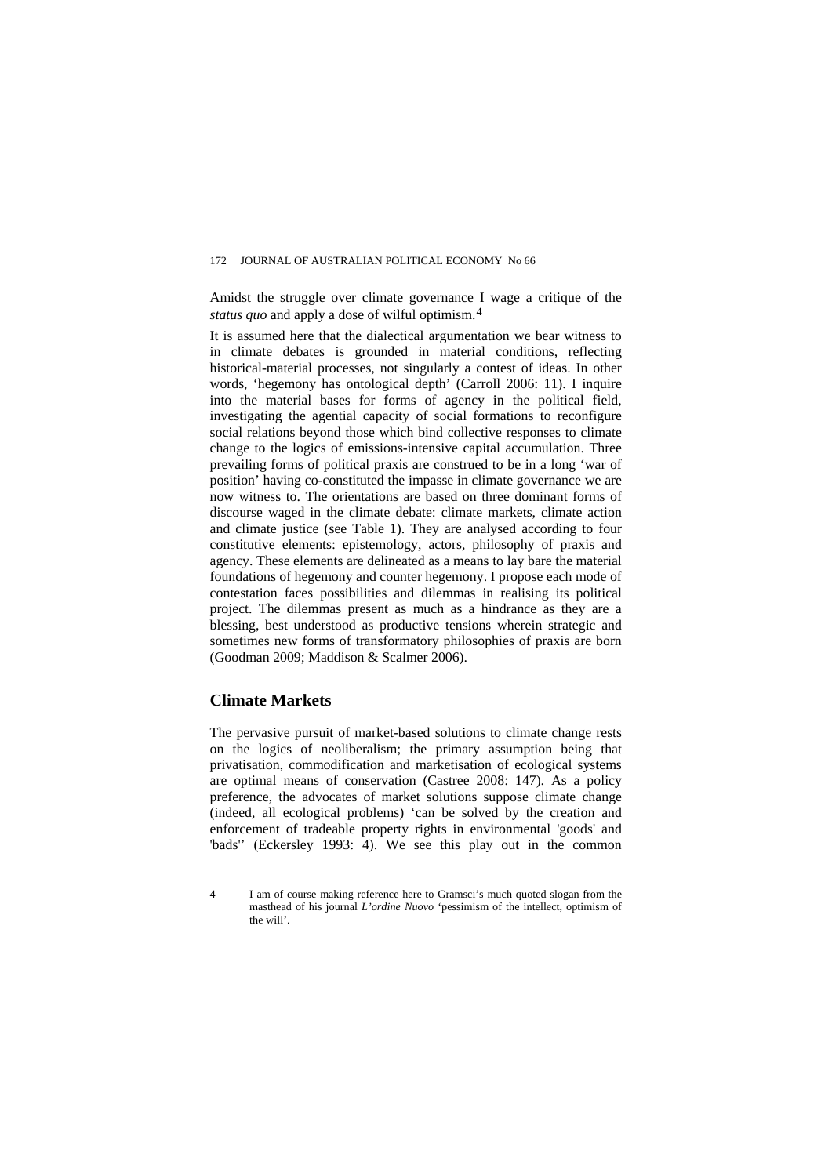Amidst the struggle over climate governance I wage a critique of the *status quo* and apply a dose of wilful optimism.[4](#page-6-0)

It is assumed here that the dialectical argumentation we bear witness to in climate debates is grounded in material conditions, reflecting historical-material processes, not singularly a contest of ideas. In other words, 'hegemony has ontological depth' [\(Carroll 2006: 11\)](#page-0-2). I inquire into the material bases for forms of agency in the political field, investigating the agential capacity of social formations to reconfigure social relations beyond those which bind collective responses to climate change to the logics of emissions-intensive capital accumulation. Three prevailing forms of political praxis are construed to be in a long 'war of position' having co-constituted the impasse in climate governance we are now witness to. The orientations are based on three dominant forms of discourse waged in the climate debate: climate markets, climate action and climate justice (see Table 1). They are analysed according to four constitutive elements: epistemology, actors, philosophy of praxis and agency. These elements are delineated as a means to lay bare the material foundations of hegemony and counter hegemony. I propose each mode of contestation faces possibilities and dilemmas in realising its political project. The dilemmas present as much as a hindrance as they are a blessing, best understood as productive tensions wherein strategic and sometimes new forms of transformatory philosophies of praxis are born ([Goodman 2009;](#page-0-2) [Maddison & Scalmer 2006\)](#page-0-2).

#### **Climate Markets**

 $\overline{a}$ 

The pervasive pursuit of market-based solutions to climate change rests on the logics of neoliberalism; the primary assumption being that privatisation, commodification and marketisation of ecological systems are optimal means of conservation [\(Castree 2008: 147\)](#page-0-2). As a policy preference, the advocates of market solutions suppose climate change (indeed, all ecological problems) 'can be solved by the creation and enforcement of tradeable property rights in environmental 'goods' and 'bads'' [\(Eckersley 1993: 4\)](#page-0-2). We see this play out in the common

<span id="page-6-0"></span><sup>4</sup> I am of course making reference here to Gramsci's much quoted slogan from the masthead of his journal *L'ordine Nuovo* 'pessimism of the intellect, optimism of the will'.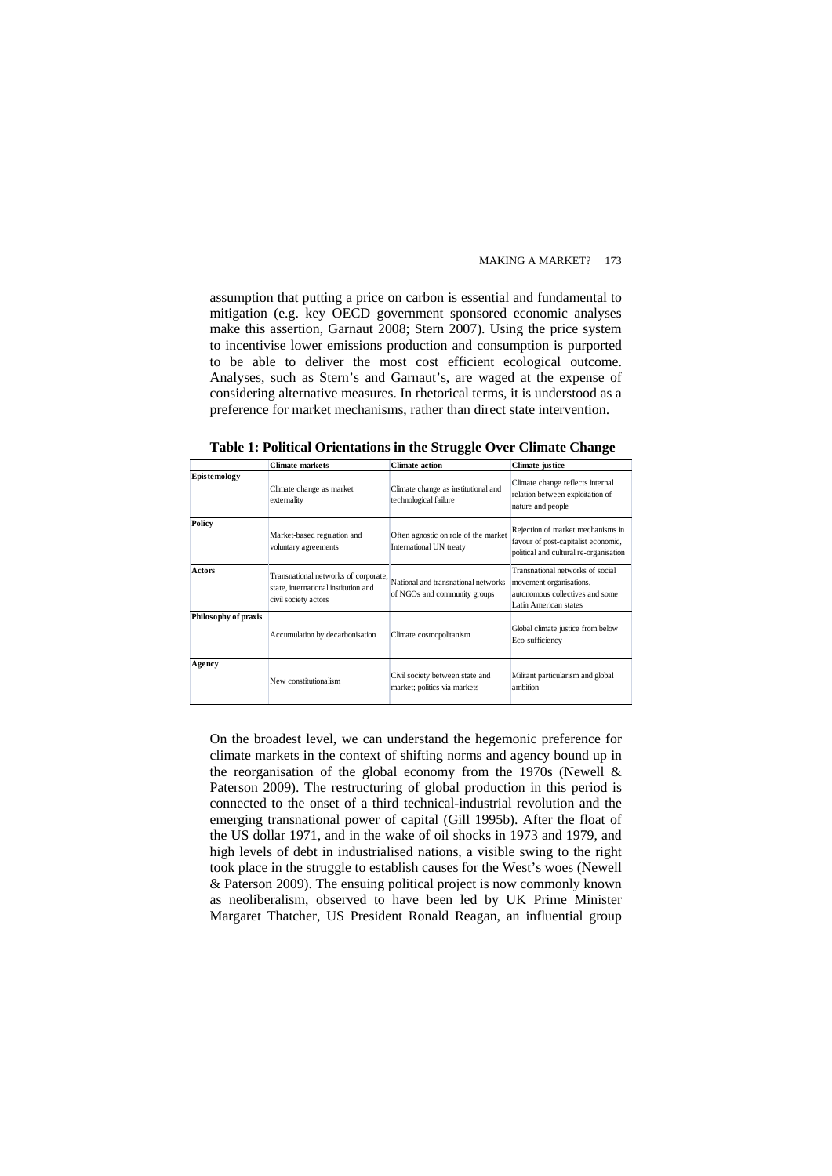assumption that putting a price on carbon is essential and fundamental to mitigation (e.g. key OECD government sponsored economic analyses make this assertion, [Garnaut 2008;](#page-0-2) [Stern 2007\)](#page-0-2). Using the price system to incentivise lower emissions production and consumption is purported to be able to deliver the most cost efficient ecological outcome. Analyses, such as Stern's and Garnaut's, are waged at the expense of considering alternative measures. In rhetorical terms, it is understood as a preference for market mechanisms, rather than direct state intervention.

|                      | <b>Climate markets</b>                                                                               | <b>Climate action</b>                                               | Climate justice                                                                                                         |
|----------------------|------------------------------------------------------------------------------------------------------|---------------------------------------------------------------------|-------------------------------------------------------------------------------------------------------------------------|
| Epistemology         | Climate change as market<br>externality                                                              | Climate change as institutional and<br>technological failure        | Climate change reflects internal<br>relation between exploitation of<br>nature and people                               |
| Policy               | Market-based regulation and<br>voluntary agreements                                                  | Often agnostic on role of the market<br>International UN treaty     | Rejection of market mechanisms in<br>favour of post-capitalist economic,<br>political and cultural re-organisation      |
| <b>Actors</b>        | Transnational networks of corporate,<br>state, international institution and<br>civil society actors | National and transnational networks<br>of NGOs and community groups | Transnational networks of social<br>movement organisations,<br>autonomous collectives and some<br>Latin American states |
| Philosophy of praxis | Accumulation by decarbonisation                                                                      | Climate cosmopolitanism                                             | Global climate justice from below<br>Eco-sufficiency                                                                    |
| Agency               | New constitutionalism                                                                                | Civil society between state and<br>market; politics via markets     | Militant particularism and global<br>ambition                                                                           |

**Table 1: Political Orientations in the Struggle Over Climate Change** 

On the broadest level, we can understand the hegemonic preference for climate markets in the context of shifting norms and agency bound up in the reorganisation of the global economy from the 1970s ([Newell &](#page-0-2)  [Paterson 2009\)](#page-0-2). The restructuring of global production in this period is connected to the onset of a third technical-industrial revolution and the emerging transnational power of capital [\(Gill 1995b](#page-0-2)). After the float of the US dollar 1971, and in the wake of oil shocks in 1973 and 1979, and high levels of debt in industrialised nations, a visible swing to the right took place in the struggle to establish causes for the West's woes [\(Newell](#page-0-2)  [& Paterson 2009\)](#page-0-2). The ensuing political project is now commonly known as neoliberalism, observed to have been led by UK Prime Minister Margaret Thatcher, US President Ronald Reagan, an influential group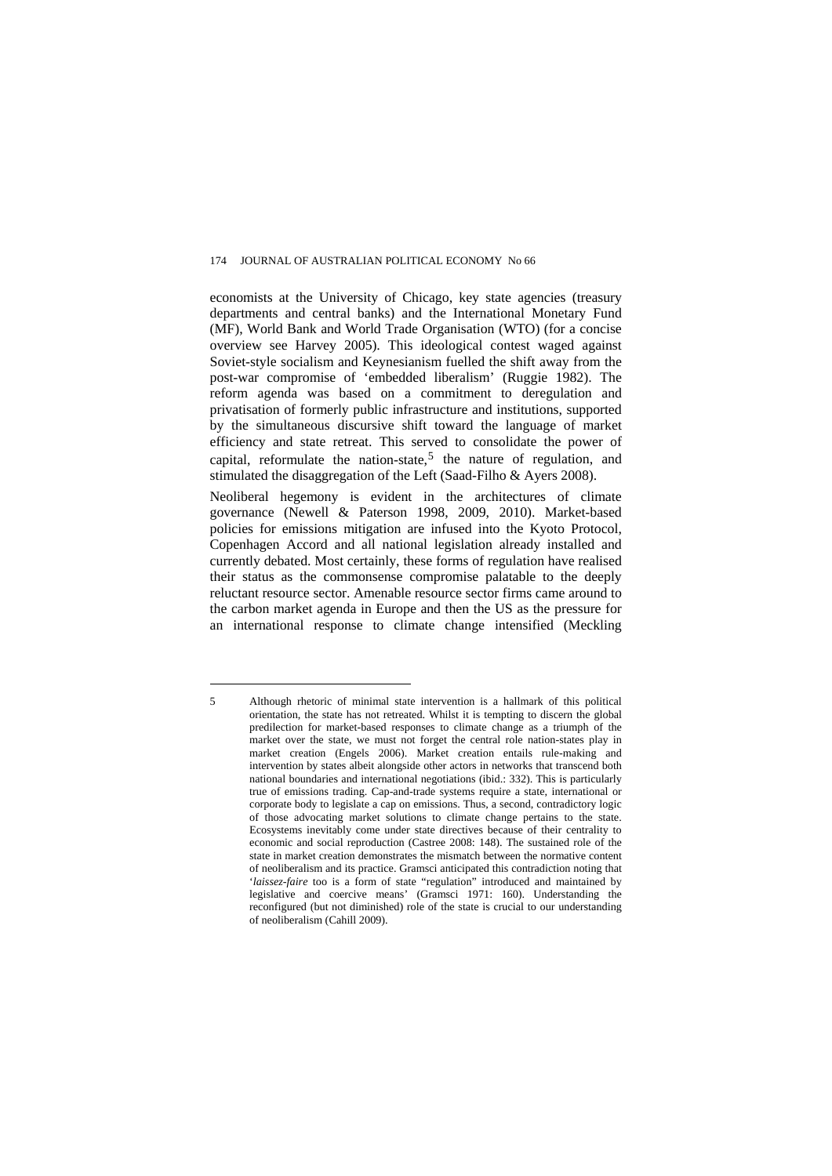economists at the University of Chicago, key state agencies (treasury departments and central banks) and the International Monetary Fund (MF), World Bank and World Trade Organisation (WTO) [\(for a concise](#page-0-2)  [overview see Harvey 2005\)](#page-0-2). This ideological contest waged against Soviet-style socialism and Keynesianism fuelled the shift away from the post-war compromise of 'embedded liberalism' [\(Ruggie 1982\)](#page-0-2). The reform agenda was based on a commitment to deregulation and privatisation of formerly public infrastructure and institutions, supported by the simultaneous discursive shift toward the language of market efficiency and state retreat. This served to consolidate the power of capital, reformulate the nation-state, $5$  the nature of regulation, and stimulated the disaggregation of the Left ([Saad-Filho & Ayers 2008\)](#page-0-2).

Neoliberal hegemony is evident in the architectures of climate governance ([Newell & Paterson 1998,](#page-0-2) [2009](#page-0-2), [2010](#page-0-2)). Market-based policies for emissions mitigation are infused into the Kyoto Protocol, Copenhagen Accord and all national legislation already installed and currently debated. Most certainly, these forms of regulation have realised their status as the commonsense compromise palatable to the deeply reluctant resource sector. Amenable resource sector firms came around to the carbon market agenda in Europe and then the US as the pressure for an international response to climate change intensified [\(Meckling](#page-0-2) 

<span id="page-8-1"></span><span id="page-8-0"></span><sup>5</sup> Although rhetoric of minimal state intervention is a hallmark of this political orientation, the state has not retreated. Whilst it is tempting to discern the global predilection for market-based responses to climate change as a triumph of the market over the state, we must not forget the central role nation-states play in market creation ([Engels 2006](#page-0-2)). Market creation entails rule-making and intervention by states albeit alongside other actors in networks that transcend both national boundaries and international negotiations ([ibid.: 332\)](#page-0-2). This is particularly true of emissions trading. Cap-and-trade systems require a state, international or corporate body to legislate a cap on emissions. Thus, a second, contradictory logic of those advocating market solutions to climate change pertains to the state. Ecosystems inevitably come under state directives because of their centrality to economic and social reproduction [\(Castree 2008: 148](#page-0-2)). The sustained role of the state in market creation demonstrates the mismatch between the normative content of neoliberalism and its practice. Gramsci anticipated this contradiction noting that '*laissez-faire* too is a form of state "regulation" introduced and maintained by legislative and coercive means' [\(Gramsci 1971: 160](#page-0-2)). Understanding the reconfigured (but not diminished) role of the state is crucial to our understanding of neoliberalism ([Cahill 2009](#page-0-2)).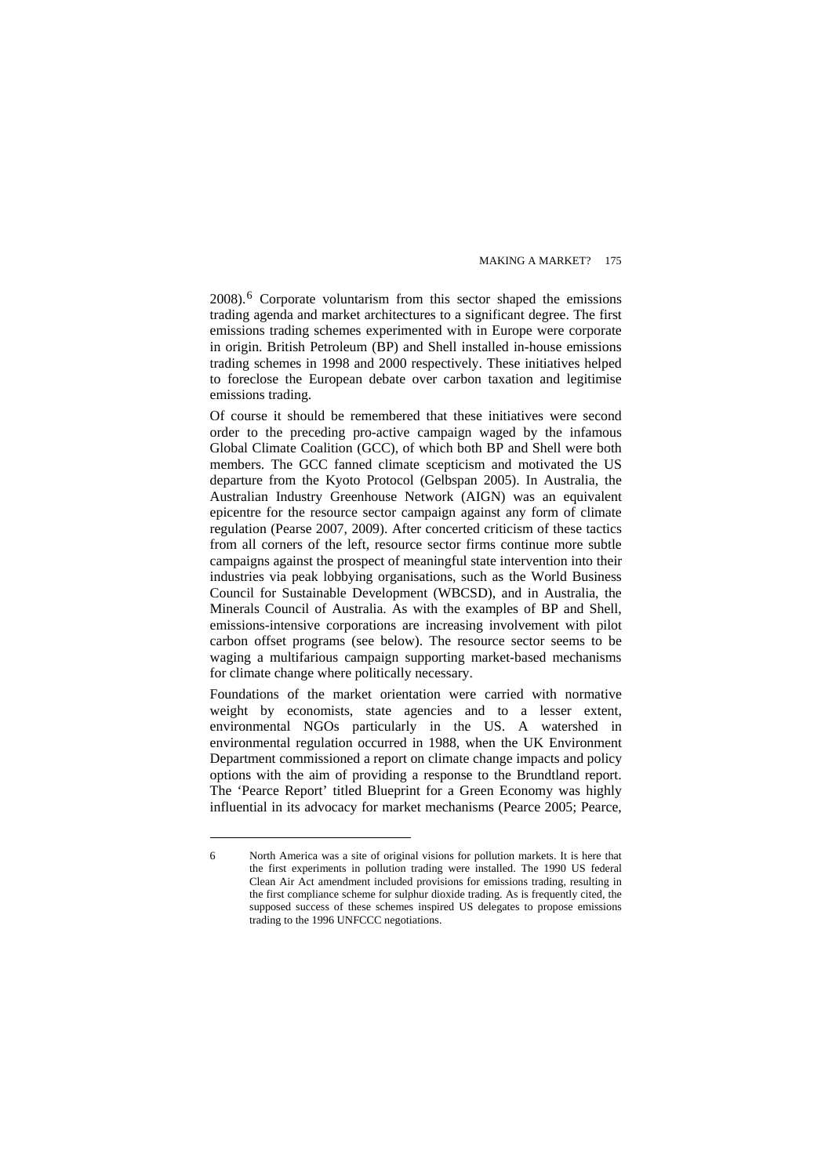[2008](#page-0-2)).[6](#page-8-1) Corporate voluntarism from this sector shaped the emissions trading agenda and market architectures to a significant degree. The first emissions trading schemes experimented with in Europe were corporate in origin. British Petroleum (BP) and Shell installed in-house emissions trading schemes in 1998 and 2000 respectively. These initiatives helped to foreclose the European debate over carbon taxation and legitimise emissions trading.

Of course it should be remembered that these initiatives were second order to the preceding pro-active campaign waged by the infamous Global Climate Coalition (GCC), of which both BP and Shell were both members. The GCC fanned climate scepticism and motivated the US departure from the Kyoto Protocol [\(Gelbspan 2005](#page-0-2)). In Australia, the Australian Industry Greenhouse Network (AIGN) was an equivalent epicentre for the resource sector campaign against any form of climate regulation [\(Pearse 2007](#page-0-2), [2009\)](#page-0-2). After concerted criticism of these tactics from all corners of the left, resource sector firms continue more subtle campaigns against the prospect of meaningful state intervention into their industries via peak lobbying organisations, such as the World Business Council for Sustainable Development (WBCSD), and in Australia, the Minerals Council of Australia. As with the examples of BP and Shell, emissions-intensive corporations are increasing involvement with pilot carbon offset programs (see below). The resource sector seems to be waging a multifarious campaign supporting market-based mechanisms for climate change where politically necessary.

Foundations of the market orientation were carried with normative weight by economists, state agencies and to a lesser extent, environmental NGOs particularly in the US. A watershed in environmental regulation occurred in 1988, when the UK Environment Department commissioned a report on climate change impacts and policy options with the aim of providing a response to the Brundtland report. The 'Pearce Report' titled Blueprint for a Green Economy was highly influential in its advocacy for market mechanisms [\(Pearce 2005](#page-0-2); [Pearce,](#page-0-2) 

<sup>6</sup> North America was a site of original visions for pollution markets. It is here that the first experiments in pollution trading were installed. The 1990 US federal Clean Air Act amendment included provisions for emissions trading, resulting in the first compliance scheme for sulphur dioxide trading. As is frequently cited, the supposed success of these schemes inspired US delegates to propose emissions trading to the 1996 UNFCCC negotiations.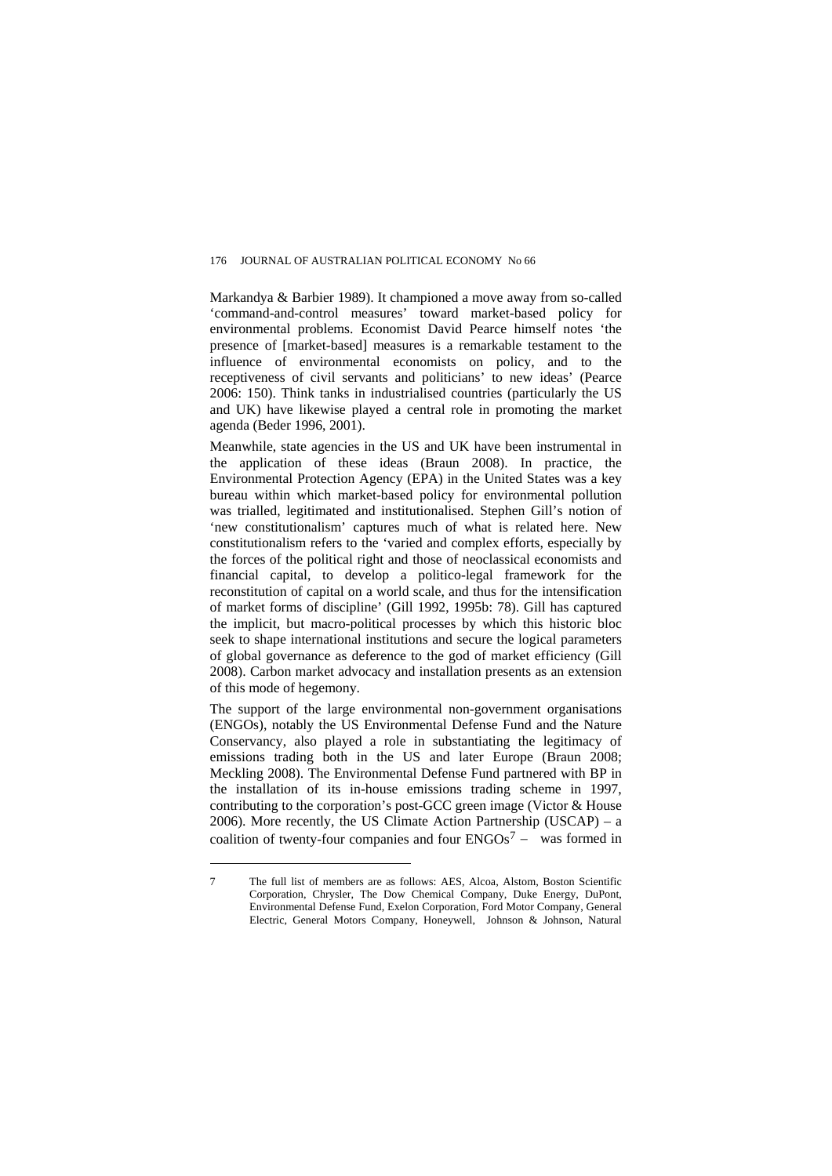[Markandya & Barbier 1989\)](#page-0-2). It championed a move away from so-called 'command-and-control measures' toward market-based policy for environmental problems. Economist David Pearce himself notes 'the presence of [market-based] measures is a remarkable testament to the influence of environmental economists on policy, and to the receptiveness of civil servants and politicians' to new ideas' ([Pearce](#page-0-2)  [2006: 150\)](#page-0-2). Think tanks in industrialised countries (particularly the US and UK) have likewise played a central role in promoting the market agenda ([Beder 1996,](#page-0-2) [2001\)](#page-0-2).

Meanwhile, state agencies in the US and UK have been instrumental in the application of these ideas ([Braun 2008\)](#page-0-2). In practice, the Environmental Protection Agency (EPA) in the United States was a key bureau within which market-based policy for environmental pollution was trialled, legitimated and institutionalised. Stephen Gill's notion of 'new constitutionalism' captures much of what is related here. New constitutionalism refers to the 'varied and complex efforts, especially by the forces of the political right and those of neoclassical economists and financial capital, to develop a politico-legal framework for the reconstitution of capital on a world scale, and thus for the intensification of market forms of discipline' [\(Gill 1992](#page-0-2), [1995b: 78](#page-0-2)). Gill has captured the implicit, but macro-political processes by which this historic bloc seek to shape international institutions and secure the logical parameters of global governance as deference to the god of market efficiency ([Gill](#page-0-2)  [2008](#page-0-2)). Carbon market advocacy and installation presents as an extension of this mode of hegemony.

The support of the large environmental non-government organisations (ENGOs), notably the US Environmental Defense Fund and the Nature Conservancy, also played a role in substantiating the legitimacy of emissions trading both in the US and later Europe ([Braun 2008;](#page-0-2) [Meckling 2008\)](#page-0-2). The Environmental Defense Fund partnered with BP in the installation of its in-house emissions trading scheme in 1997, contributing to the corporation's post-GCC green image [\(Victor & House](#page-0-2)  [2006](#page-0-2)). More recently, the US Climate Action Partnership (USCAP) – a coalition of twenty-four companies and four  $ENGOs<sup>7</sup>$  $ENGOs<sup>7</sup>$  $ENGOs<sup>7</sup>$  – was formed in

<span id="page-10-0"></span><sup>7</sup> The full list of members are as follows: AES, Alcoa, Alstom, Boston Scientific Corporation, Chrysler, The Dow Chemical Company, Duke Energy, DuPont, Environmental Defense Fund, Exelon Corporation, Ford Motor Company, General Electric, General Motors Company, Honeywell, Johnson & Johnson, Natural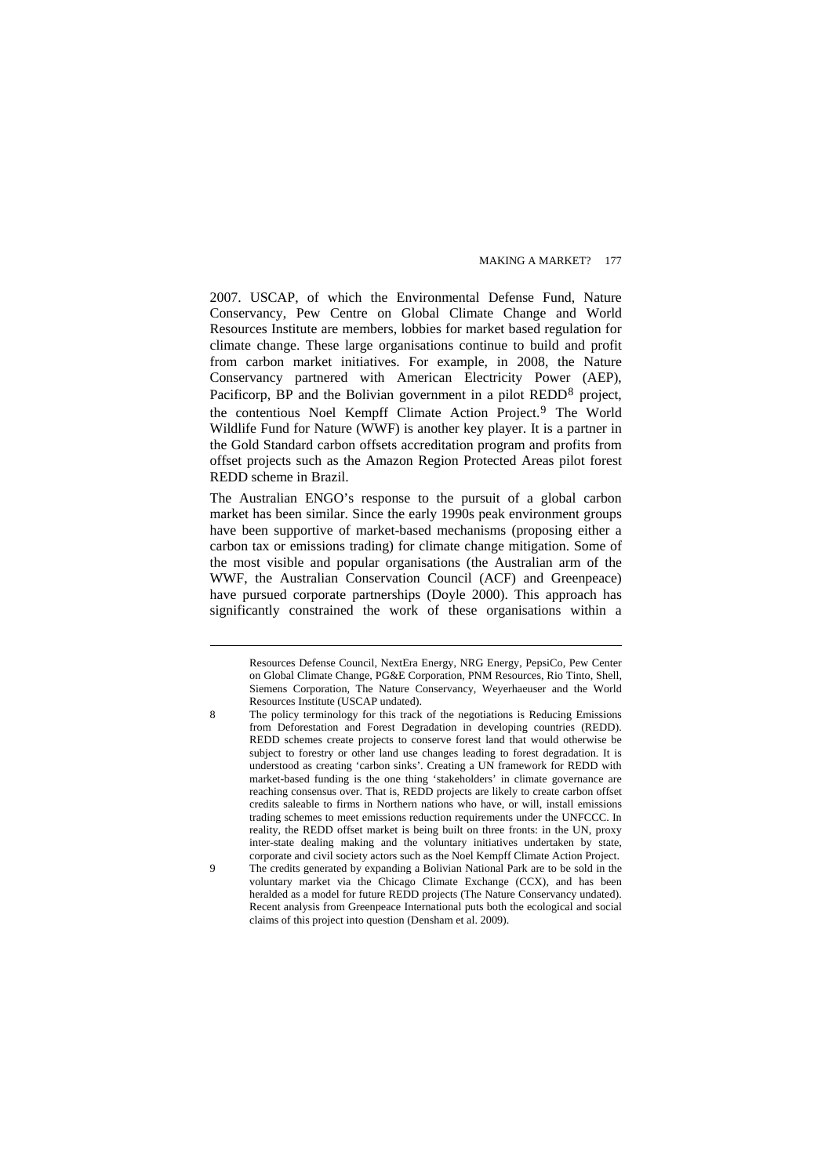2007. USCAP, of which the Environmental Defense Fund, Nature Conservancy, Pew Centre on Global Climate Change and World Resources Institute are members, lobbies for market based regulation for climate change. These large organisations continue to build and profit from carbon market initiatives. For example, in 2008, the Nature Conservancy partnered with American Electricity Power (AEP), Pacificorp, BP and the Bolivian government in a pilot REDD<sup>[8](#page-11-0)</sup> project, the contentious Noel Kempff Climate Action Project.[9](#page-11-1) The World Wildlife Fund for Nature (WWF) is another key player. It is a partner in the Gold Standard carbon offsets accreditation program and profits from offset projects such as the Amazon Region Protected Areas pilot forest REDD scheme in Brazil.

The Australian ENGO's response to the pursuit of a global carbon market has been similar. Since the early 1990s peak environment groups have been supportive of market-based mechanisms (proposing either a carbon tax or emissions trading) for climate change mitigation. Some of the most visible and popular organisations (the Australian arm of the WWF, the Australian Conservation Council (ACF) and Greenpeace) have pursued corporate partnerships [\(Doyle 2000](#page-0-2)). This approach has significantly constrained the work of these organisations within a

<span id="page-11-0"></span>8 The policy terminology for this track of the negotiations is Reducing Emissions from Deforestation and Forest Degradation in developing countries (REDD). REDD schemes create projects to conserve forest land that would otherwise be subject to forestry or other land use changes leading to forest degradation. It is understood as creating 'carbon sinks'. Creating a UN framework for REDD with market-based funding is the one thing 'stakeholders' in climate governance are reaching consensus over. That is, REDD projects are likely to create carbon offset credits saleable to firms in Northern nations who have, or will, install emissions trading schemes to meet emissions reduction requirements under the UNFCCC. In reality, the REDD offset market is being built on three fronts: in the UN, proxy inter-state dealing making and the voluntary initiatives undertaken by state, corporate and civil society actors such as the Noel Kempff Climate Action Project.

<span id="page-11-1"></span>9 The credits generated by expanding a Bolivian National Park are to be sold in the voluntary market via the Chicago Climate Exchange (CCX), and has been heralded as a model for future REDD projects ([The Nature Conservancy undated\)](#page-0-2). Recent analysis from Greenpeace International puts both the ecological and social claims of this project into question [\(Densham et al. 2009](#page-0-2)).

Resources Defense Council, NextEra Energy, NRG Energy, PepsiCo, Pew Center on Global Climate Change, PG&E Corporation, PNM Resources, Rio Tinto, Shell, Siemens Corporation, The Nature Conservancy, Weyerhaeuser and the World Resources Institute [\(USCAP undated\)](#page-0-2).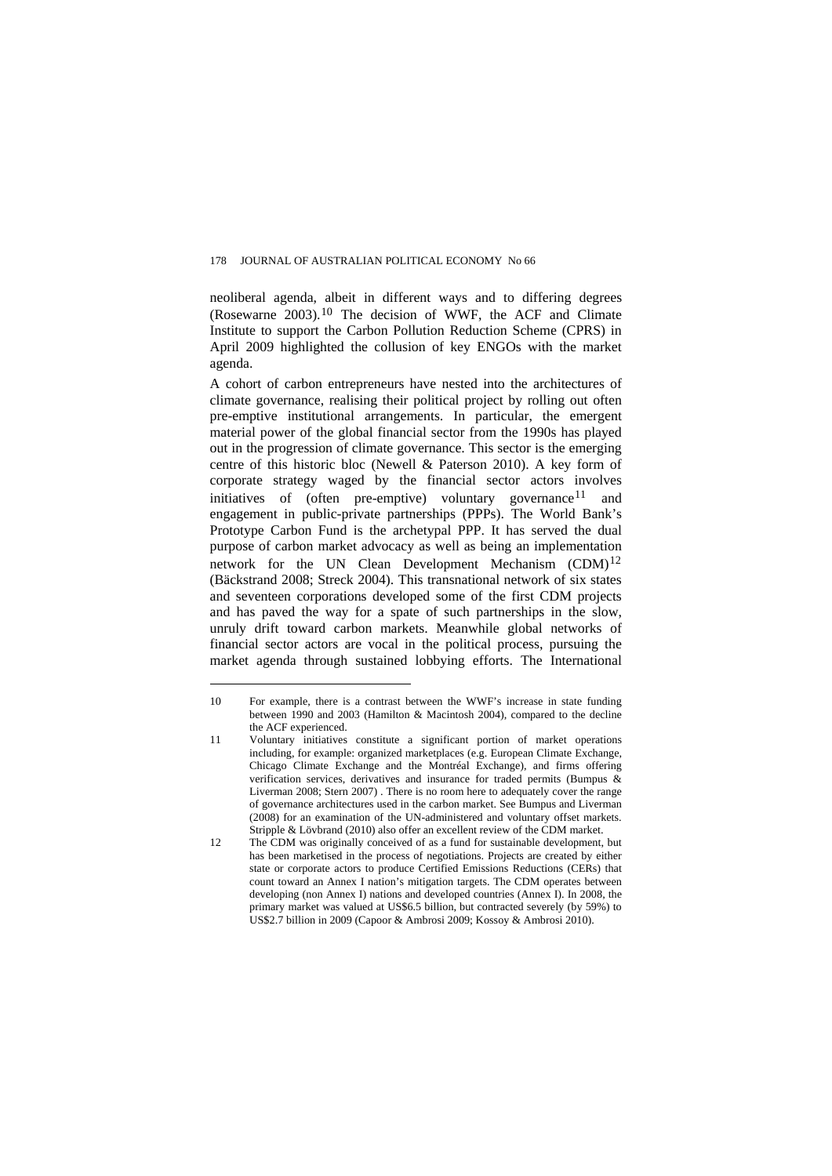neoliberal agenda, albeit in different ways and to differing degrees (Rosewarne  $2003$ ).<sup>[10](#page-12-0)</sup> The decision of WWF, the ACF and Climate Institute to support the Carbon Pollution Reduction Scheme (CPRS) in April 2009 highlighted the collusion of key ENGOs with the market agenda.

A cohort of carbon entrepreneurs have nested into the architectures of climate governance, realising their political project by rolling out often pre-emptive institutional arrangements. In particular, the emergent material power of the global financial sector from the 1990s has played out in the progression of climate governance. This sector is the emerging centre of this historic bloc [\(Newell & Paterson 2010](#page-0-2)). A key form of corporate strategy waged by the financial sector actors involves initiatives of (often pre-emptive) voluntary governance  $11$  and engagement in public-private partnerships (PPPs). The World Bank's Prototype Carbon Fund is the archetypal PPP. It has served the dual purpose of carbon market advocacy as well as being an implementation network for the UN Clean Development Mechanism  $(CDM)^{12}$  $(CDM)^{12}$  $(CDM)^{12}$ ([Bäckstrand 2008;](#page-0-2) [Streck 2004](#page-0-2)). This transnational network of six states and seventeen corporations developed some of the first CDM projects and has paved the way for a spate of such partnerships in the slow, unruly drift toward carbon markets. Meanwhile global networks of financial sector actors are vocal in the political process, pursuing the market agenda through sustained lobbying efforts. The International

<span id="page-12-0"></span><sup>10</sup> For example, there is a contrast between the WWF's increase in state funding between 1990 and 2003 [\(Hamilton & Macintosh 2004](#page-0-2)), compared to the decline the ACF experienced.

<span id="page-12-1"></span><sup>11</sup> Voluntary initiatives constitute a significant portion of market operations including, for example: organized marketplaces (e.g. European Climate Exchange, Chicago Climate Exchange and the Montréal Exchange), and firms offering verification services, derivatives and insurance for traded permits [\(Bumpus &](#page-0-2)  [Liverman 2008](#page-0-2); [Stern 2007\)](#page-0-2) . There is no room here to adequately cover the range of governance architectures used in the carbon market. See Bumpus and Liverman [\(2008](#page-0-2)) for an examination of the UN-administered and voluntary offset markets. Stripple & Lövbrand [\(2010](#page-0-2)) also offer an excellent review of the CDM market.

<span id="page-12-2"></span><sup>12</sup> The CDM was originally conceived of as a fund for sustainable development, but has been marketised in the process of negotiations. Projects are created by either state or corporate actors to produce Certified Emissions Reductions (CERs) that count toward an Annex I nation's mitigation targets. The CDM operates between developing (non Annex I) nations and developed countries (Annex I). In 2008, the primary market was valued at US\$6.5 billion, but contracted severely (by 59%) to US\$2.7 billion in 2009 ([Capoor & Ambrosi 2009;](#page-0-2) [Kossoy & Ambrosi 2010](#page-0-2)).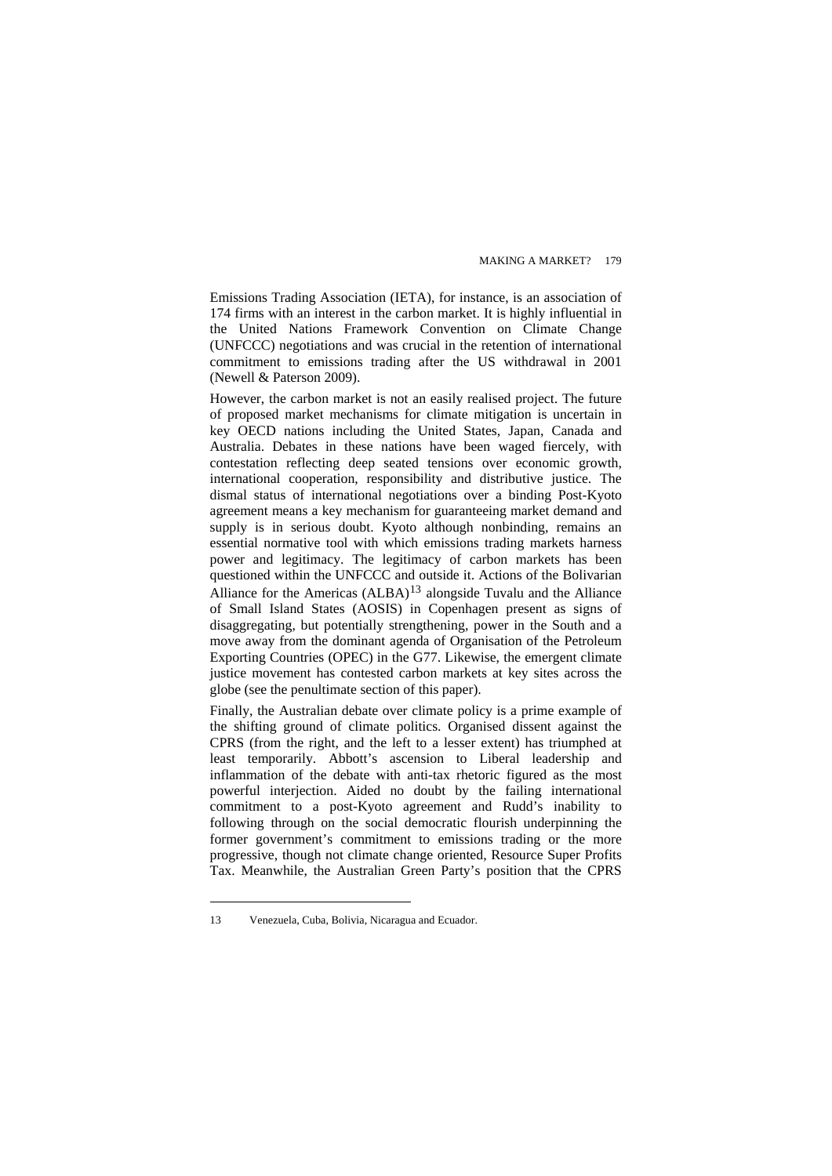Emissions Trading Association (IETA), for instance, is an association of 174 firms with an interest in the carbon market. It is highly influential in the United Nations Framework Convention on Climate Change (UNFCCC) negotiations and was crucial in the retention of international commitment to emissions trading after the US withdrawal in 2001 ([Newell & Paterson 2009](#page-0-2)).

However, the carbon market is not an easily realised project. The future of proposed market mechanisms for climate mitigation is uncertain in key OECD nations including the United States, Japan, Canada and Australia. Debates in these nations have been waged fiercely, with contestation reflecting deep seated tensions over economic growth, international cooperation, responsibility and distributive justice. The dismal status of international negotiations over a binding Post-Kyoto agreement means a key mechanism for guaranteeing market demand and supply is in serious doubt. Kyoto although nonbinding, remains an essential normative tool with which emissions trading markets harness power and legitimacy. The legitimacy of carbon markets has been questioned within the UNFCCC and outside it. Actions of the Bolivarian Alliance for the Americas  $(ALBA)^{13}$  $(ALBA)^{13}$  $(ALBA)^{13}$  alongside Tuvalu and the Alliance of Small Island States (AOSIS) in Copenhagen present as signs of disaggregating, but potentially strengthening, power in the South and a move away from the dominant agenda of Organisation of the Petroleum Exporting Countries (OPEC) in the G77. Likewise, the emergent climate justice movement has contested carbon markets at key sites across the globe (see the penultimate section of this paper).

Finally, the Australian debate over climate policy is a prime example of the shifting ground of climate politics. Organised dissent against the CPRS (from the right, and the left to a lesser extent) has triumphed at least temporarily. Abbott's ascension to Liberal leadership and inflammation of the debate with anti-tax rhetoric figured as the most powerful interjection. Aided no doubt by the failing international commitment to a post-Kyoto agreement and Rudd's inability to following through on the social democratic flourish underpinning the former government's commitment to emissions trading or the more progressive, though not climate change oriented, Resource Super Profits Tax. Meanwhile, the Australian Green Party's position that the CPRS

<span id="page-13-0"></span><sup>13</sup> Venezuela, Cuba, Bolivia, Nicaragua and Ecuador.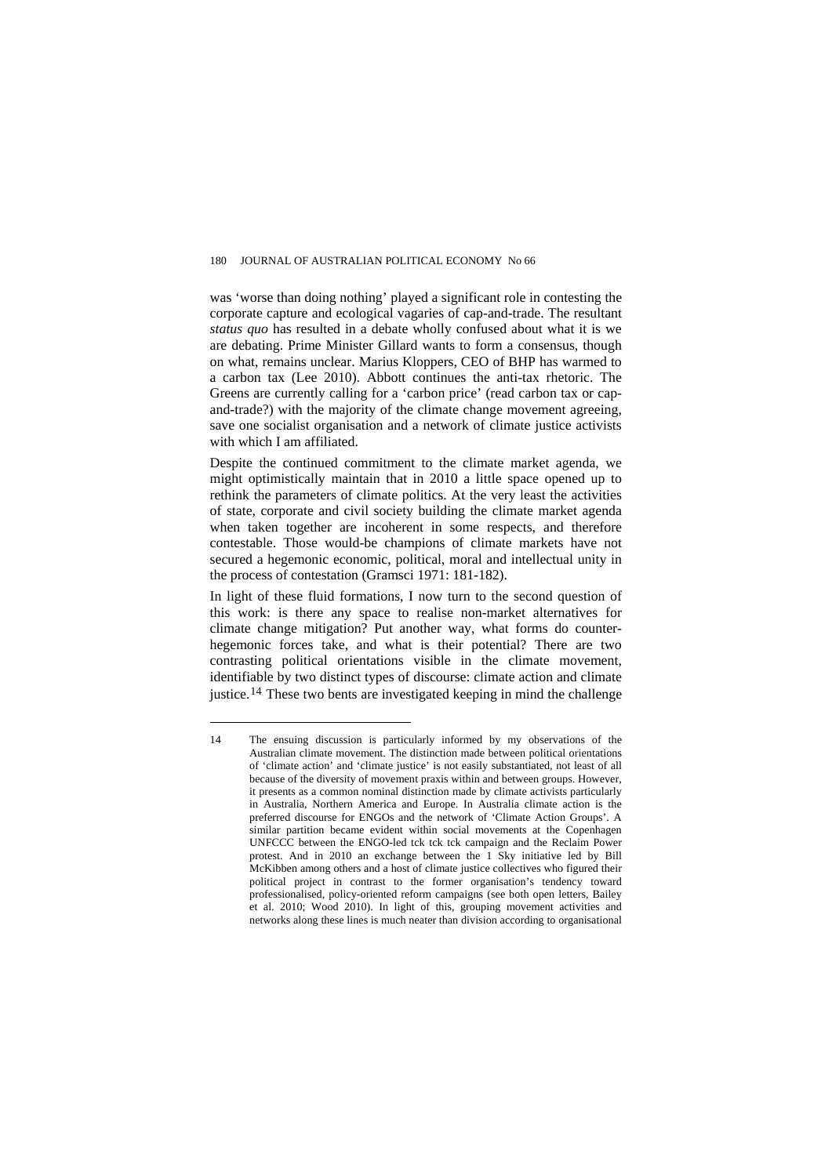was 'worse than doing nothing' played a significant role in contesting the corporate capture and ecological vagaries of cap-and-trade. The resultant *status quo* has resulted in a debate wholly confused about what it is we are debating. Prime Minister Gillard wants to form a consensus, though on what, remains unclear. Marius Kloppers, CEO of BHP has warmed to a carbon tax [\(Lee 2010](#page-0-2)). Abbott continues the anti-tax rhetoric. The Greens are currently calling for a 'carbon price' (read carbon tax or capand-trade?) with the majority of the climate change movement agreeing, save one socialist organisation and a network of climate justice activists with which I am affiliated.

Despite the continued commitment to the climate market agenda, we might optimistically maintain that in 2010 a little space opened up to rethink the parameters of climate politics. At the very least the activities of state, corporate and civil society building the climate market agenda when taken together are incoherent in some respects, and therefore contestable. Those would-be champions of climate markets have not secured a hegemonic economic, political, moral and intellectual unity in the process of contestation ([Gramsci 1971: 181-182\)](#page-0-2).

In light of these fluid formations, I now turn to the second question of this work: is there any space to realise non-market alternatives for climate change mitigation? Put another way, what forms do counterhegemonic forces take, and what is their potential? There are two contrasting political orientations visible in the climate movement, identifiable by two distinct types of discourse: climate action and climate justice.<sup>[14](#page-14-0)</sup> These two bents are investigated keeping in mind the challenge

<span id="page-14-0"></span><sup>14</sup> The ensuing discussion is particularly informed by my observations of the Australian climate movement. The distinction made between political orientations of 'climate action' and 'climate justice' is not easily substantiated, not least of all because of the diversity of movement praxis within and between groups. However, it presents as a common nominal distinction made by climate activists particularly in Australia, Northern America and Europe. In Australia climate action is the preferred discourse for ENGOs and the network of 'Climate Action Groups'. A similar partition became evident within social movements at the Copenhagen UNFCCC between the ENGO-led tck tck tck campaign and the Reclaim Power protest. And in 2010 an exchange between the 1 Sky initiative led by Bill McKibben among others and a host of climate justice collectives who figured their political project in contrast to the former organisation's tendency toward professionalised, policy-oriented reform campaigns (see both open letters, [Bailey](#page-0-2)  [et al. 2010;](#page-0-2) [Wood 2010\)](#page-0-2). In light of this, grouping movement activities and networks along these lines is much neater than division according to organisational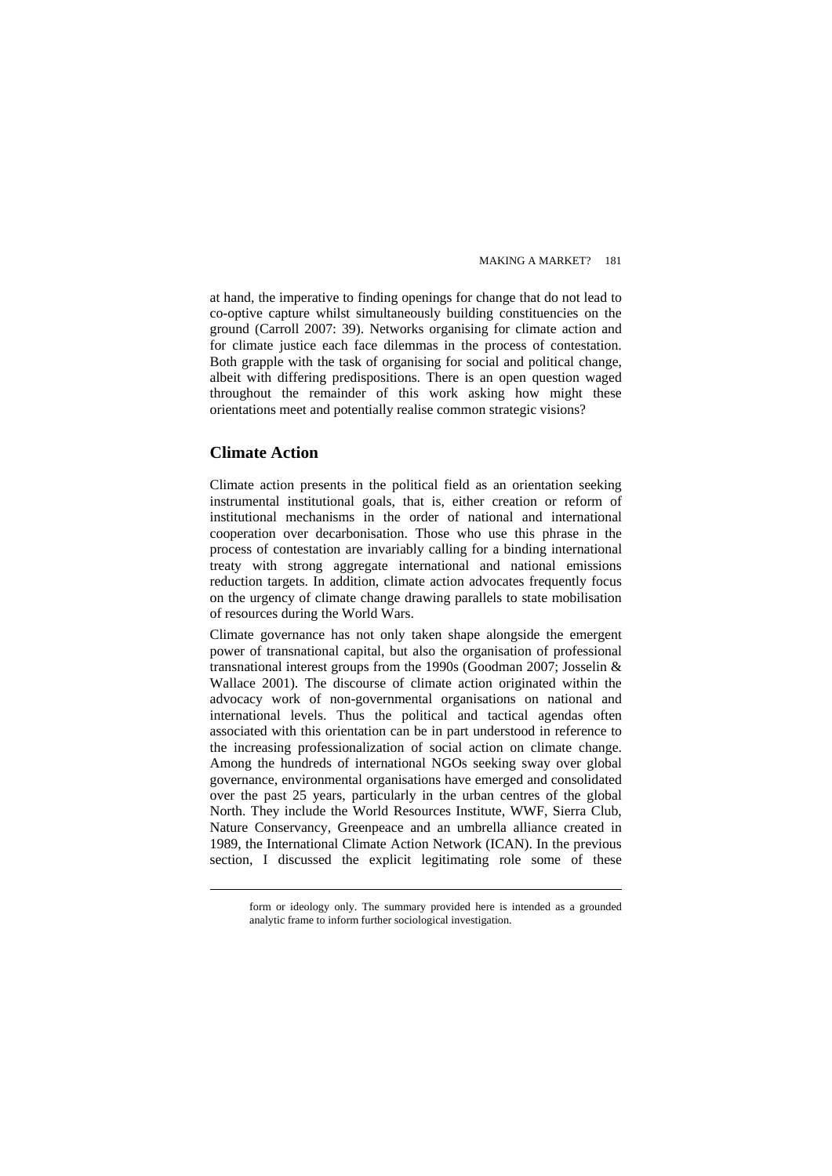at hand, the imperative to finding openings for change that do not lead to co-optive capture whilst simultaneously building constituencies on the ground [\(Carroll 2007: 39\)](#page-0-2). Networks organising for climate action and for climate justice each face dilemmas in the process of contestation. Both grapple with the task of organising for social and political change, albeit with differing predispositions. There is an open question waged throughout the remainder of this work asking how might these orientations meet and potentially realise common strategic visions?

## **Climate Action**

 $\overline{a}$ 

Climate action presents in the political field as an orientation seeking instrumental institutional goals, that is, either creation or reform of institutional mechanisms in the order of national and international cooperation over decarbonisation. Those who use this phrase in the process of contestation are invariably calling for a binding international treaty with strong aggregate international and national emissions reduction targets. In addition, climate action advocates frequently focus on the urgency of climate change drawing parallels to state mobilisation of resources during the World Wars.

Climate governance has not only taken shape alongside the emergent power of transnational capital, but also the organisation of professional transnational interest groups from the 1990s ([Goodman 2007](#page-0-2); [Josselin &](#page-0-2)  [Wallace 2001\)](#page-0-2). The discourse of climate action originated within the advocacy work of non-governmental organisations on national and international levels. Thus the political and tactical agendas often associated with this orientation can be in part understood in reference to the increasing professionalization of social action on climate change. Among the hundreds of international NGOs seeking sway over global governance, environmental organisations have emerged and consolidated over the past 25 years, particularly in the urban centres of the global North. They include the World Resources Institute, WWF, Sierra Club, Nature Conservancy, Greenpeace and an umbrella alliance created in 1989, the International Climate Action Network (ICAN). In the previous section, I discussed the explicit legitimating role some of these

form or ideology only. The summary provided here is intended as a grounded analytic frame to inform further sociological investigation.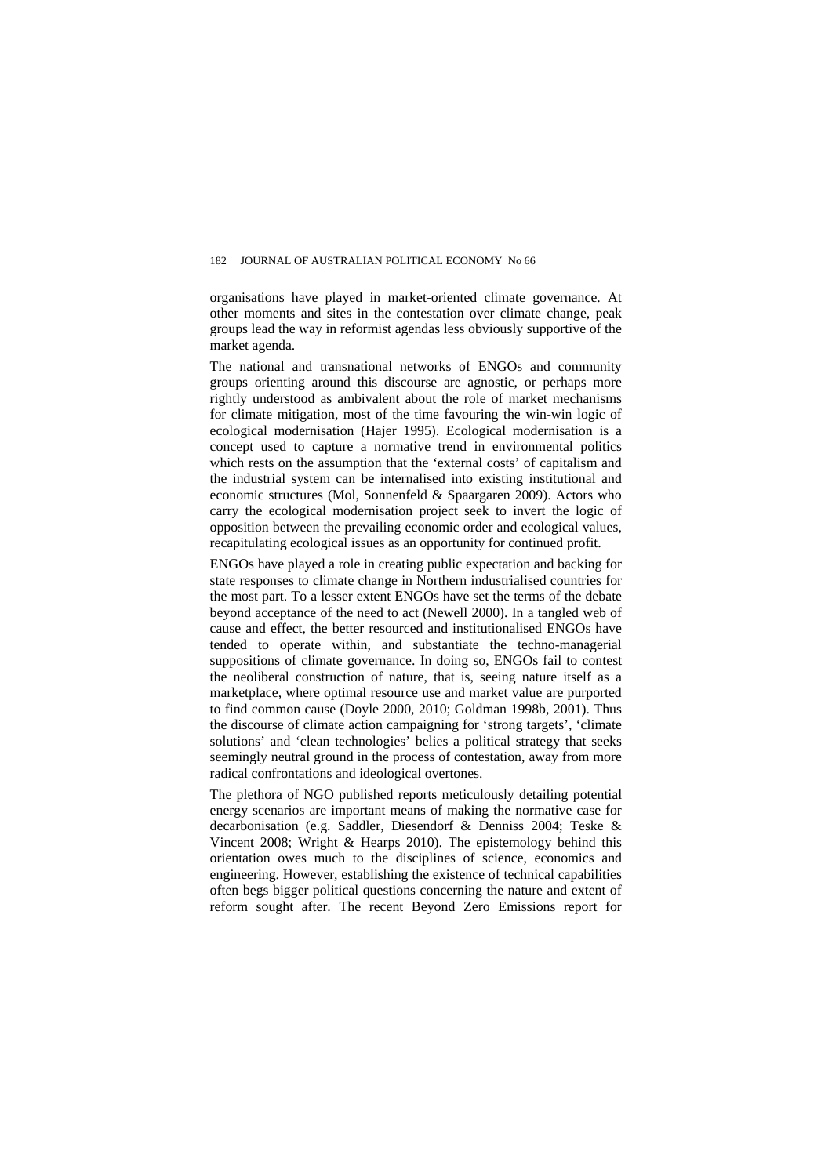organisations have played in market-oriented climate governance. At other moments and sites in the contestation over climate change, peak groups lead the way in reformist agendas less obviously supportive of the market agenda.

The national and transnational networks of ENGOs and community groups orienting around this discourse are agnostic, or perhaps more rightly understood as ambivalent about the role of market mechanisms for climate mitigation, most of the time favouring the win-win logic of ecological modernisation ([Hajer 1995\)](#page-0-2). Ecological modernisation is a concept used to capture a normative trend in environmental politics which rests on the assumption that the 'external costs' of capitalism and the industrial system can be internalised into existing institutional and economic structures [\(Mol, Sonnenfeld & Spaargaren 2009\)](#page-0-2). Actors who carry the ecological modernisation project seek to invert the logic of opposition between the prevailing economic order and ecological values, recapitulating ecological issues as an opportunity for continued profit.

ENGOs have played a role in creating public expectation and backing for state responses to climate change in Northern industrialised countries for the most part. To a lesser extent ENGOs have set the terms of the debate beyond acceptance of the need to act [\(Newell 2000\)](#page-0-2). In a tangled web of cause and effect, the better resourced and institutionalised ENGOs have tended to operate within, and substantiate the techno-managerial suppositions of climate governance. In doing so, ENGOs fail to contest the neoliberal construction of nature, that is, seeing nature itself as a marketplace, where optimal resource use and market value are purported to find common cause ([Doyle 2000](#page-0-2), [2010;](#page-0-2) [Goldman 1998b,](#page-0-2) [2001](#page-0-2)). Thus the discourse of climate action campaigning for 'strong targets', 'climate solutions' and 'clean technologies' belies a political strategy that seeks seemingly neutral ground in the process of contestation, away from more radical confrontations and ideological overtones.

The plethora of NGO published reports meticulously detailing potential energy scenarios are important means of making the normative case for decarbonisation (e.g. [Saddler, Diesendorf & Denniss 2004](#page-0-2); [Teske &](#page-0-2)  [Vincent 2008](#page-0-2); [Wright & Hearps 2010\)](#page-0-2). The epistemology behind this orientation owes much to the disciplines of science, economics and engineering. However, establishing the existence of technical capabilities often begs bigger political questions concerning the nature and extent of reform sought after. The recent Beyond Zero Emissions report for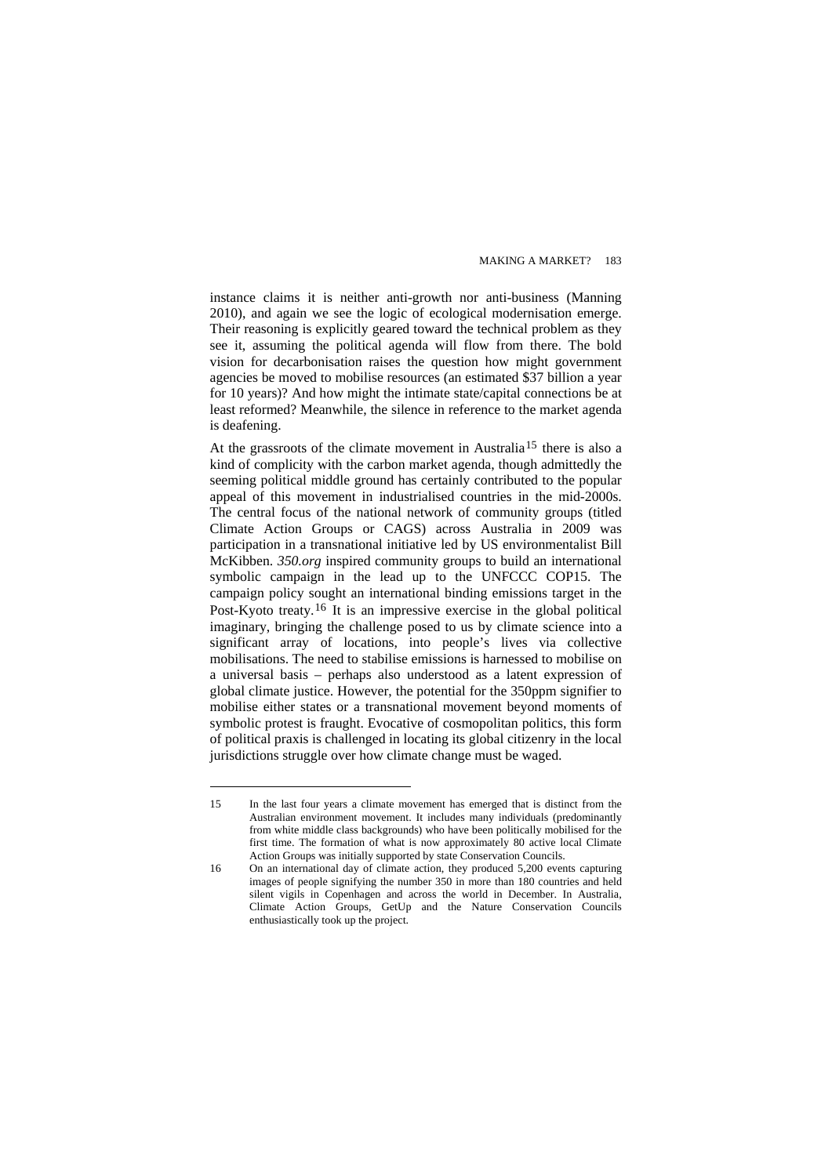instance claims it is neither anti-growth nor anti-business [\(Manning](#page-0-2)  [2010](#page-0-2)), and again we see the logic of ecological modernisation emerge. Their reasoning is explicitly geared toward the technical problem as they see it, assuming the political agenda will flow from there. The bold vision for decarbonisation raises the question how might government agencies be moved to mobilise resources (an estimated \$37 billion a year for 10 years)? And how might the intimate state/capital connections be at least reformed? Meanwhile, the silence in reference to the market agenda is deafening.

At the grassroots of the climate movement in Australia<sup>[15](#page-17-0)</sup> there is also a kind of complicity with the carbon market agenda, though admittedly the seeming political middle ground has certainly contributed to the popular appeal of this movement in industrialised countries in the mid-2000s. The central focus of the national network of community groups (titled Climate Action Groups or CAGS) across Australia in 2009 was participation in a transnational initiative led by US environmentalist Bill McKibben. *350.org* inspired community groups to build an international symbolic campaign in the lead up to the UNFCCC COP15. The campaign policy sought an international binding emissions target in the Post-Kyoto treaty.[16](#page-17-1) It is an impressive exercise in the global political imaginary, bringing the challenge posed to us by climate science into a significant array of locations, into people's lives via collective mobilisations. The need to stabilise emissions is harnessed to mobilise on a universal basis – perhaps also understood as a latent expression of global climate justice. However, the potential for the 350ppm signifier to mobilise either states or a transnational movement beyond moments of symbolic protest is fraught. Evocative of cosmopolitan politics, this form of political praxis is challenged in locating its global citizenry in the local jurisdictions struggle over how climate change must be waged.

<span id="page-17-0"></span><sup>15</sup> In the last four years a climate movement has emerged that is distinct from the Australian environment movement. It includes many individuals (predominantly from white middle class backgrounds) who have been politically mobilised for the first time. The formation of what is now approximately 80 active local Climate Action Groups was initially supported by state Conservation Councils.

<span id="page-17-1"></span><sup>16</sup> On an international day of climate action, they produced 5,200 events capturing images of people signifying the number 350 in more than 180 countries and held silent vigils in Copenhagen and across the world in December. In Australia, Climate Action Groups, GetUp and the Nature Conservation Councils enthusiastically took up the project.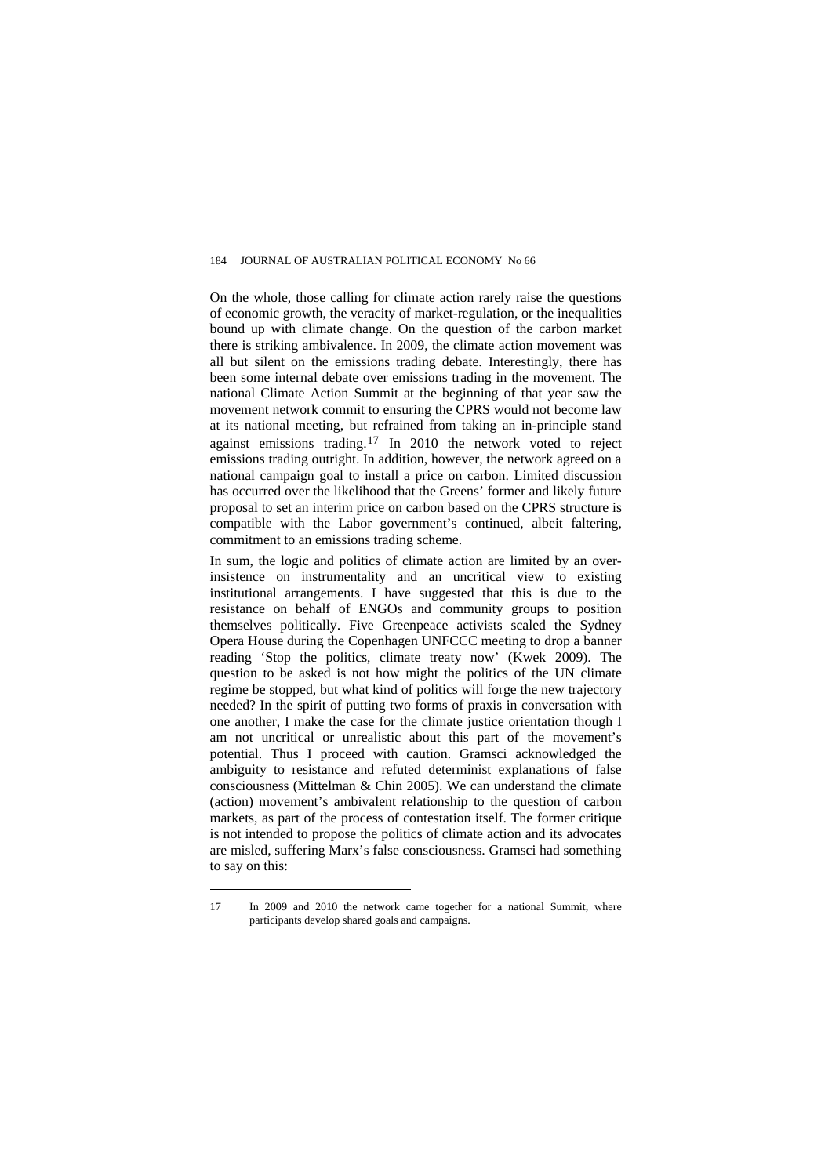On the whole, those calling for climate action rarely raise the questions of economic growth, the veracity of market-regulation, or the inequalities bound up with climate change. On the question of the carbon market there is striking ambivalence. In 2009, the climate action movement was all but silent on the emissions trading debate. Interestingly, there has been some internal debate over emissions trading in the movement. The national Climate Action Summit at the beginning of that year saw the movement network commit to ensuring the CPRS would not become law at its national meeting, but refrained from taking an in-principle stand against emissions trading.[17](#page-18-0) In 2010 the network voted to reject emissions trading outright. In addition, however, the network agreed on a national campaign goal to install a price on carbon. Limited discussion has occurred over the likelihood that the Greens' former and likely future proposal to set an interim price on carbon based on the CPRS structure is compatible with the Labor government's continued, albeit faltering, commitment to an emissions trading scheme.

In sum, the logic and politics of climate action are limited by an overinsistence on instrumentality and an uncritical view to existing institutional arrangements. I have suggested that this is due to the resistance on behalf of ENGOs and community groups to position themselves politically. Five Greenpeace activists scaled the Sydney Opera House during the Copenhagen UNFCCC meeting to drop a banner reading 'Stop the politics, climate treaty now' [\(Kwek 2009](#page-0-2)). The question to be asked is not how might the politics of the UN climate regime be stopped, but what kind of politics will forge the new trajectory needed? In the spirit of putting two forms of praxis in conversation with one another, I make the case for the climate justice orientation though I am not uncritical or unrealistic about this part of the movement's potential. Thus I proceed with caution. Gramsci acknowledged the ambiguity to resistance and refuted determinist explanations of false consciousness [\(Mittelman & Chin 2005](#page-0-2)). We can understand the climate (action) movement's ambivalent relationship to the question of carbon markets, as part of the process of contestation itself. The former critique is not intended to propose the politics of climate action and its advocates are misled, suffering Marx's false consciousness. Gramsci had something to say on this:

<span id="page-18-0"></span><sup>17</sup> In 2009 and 2010 the network came together for a national Summit, where participants develop shared goals and campaigns.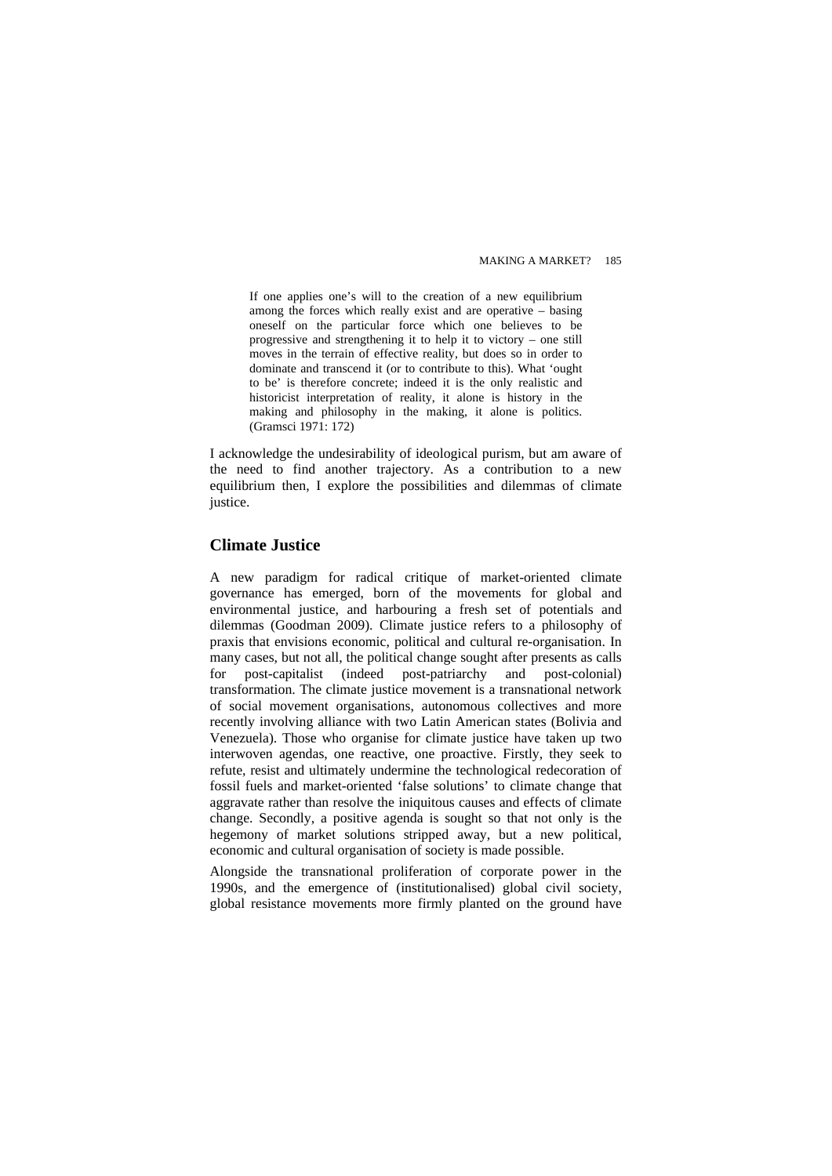If one applies one's will to the creation of a new equilibrium among the forces which really exist and are operative – basing oneself on the particular force which one believes to be progressive and strengthening it to help it to victory – one still moves in the terrain of effective reality, but does so in order to dominate and transcend it (or to contribute to this). What 'ought to be' is therefore concrete; indeed it is the only realistic and historicist interpretation of reality, it alone is history in the making and philosophy in the making, it alone is politics. ([Gramsci 1971: 172\)](#page-0-2)

I acknowledge the undesirability of ideological purism, but am aware of the need to find another trajectory. As a contribution to a new equilibrium then, I explore the possibilities and dilemmas of climate justice.

## **Climate Justice**

A new paradigm for radical critique of market-oriented climate governance has emerged, born of the movements for global and environmental justice, and harbouring a fresh set of potentials and dilemmas [\(Goodman 2009](#page-0-2)). Climate justice refers to a philosophy of praxis that envisions economic, political and cultural re-organisation. In many cases, but not all, the political change sought after presents as calls for post-capitalist (indeed post-patriarchy and post-colonial) transformation. The climate justice movement is a transnational network of social movement organisations, autonomous collectives and more recently involving alliance with two Latin American states (Bolivia and Venezuela). Those who organise for climate justice have taken up two interwoven agendas, one reactive, one proactive. Firstly, they seek to refute, resist and ultimately undermine the technological redecoration of fossil fuels and market-oriented 'false solutions' to climate change that aggravate rather than resolve the iniquitous causes and effects of climate change. Secondly, a positive agenda is sought so that not only is the hegemony of market solutions stripped away, but a new political, economic and cultural organisation of society is made possible.

Alongside the transnational proliferation of corporate power in the 1990s, and the emergence of (institutionalised) global civil society, global resistance movements more firmly planted on the ground have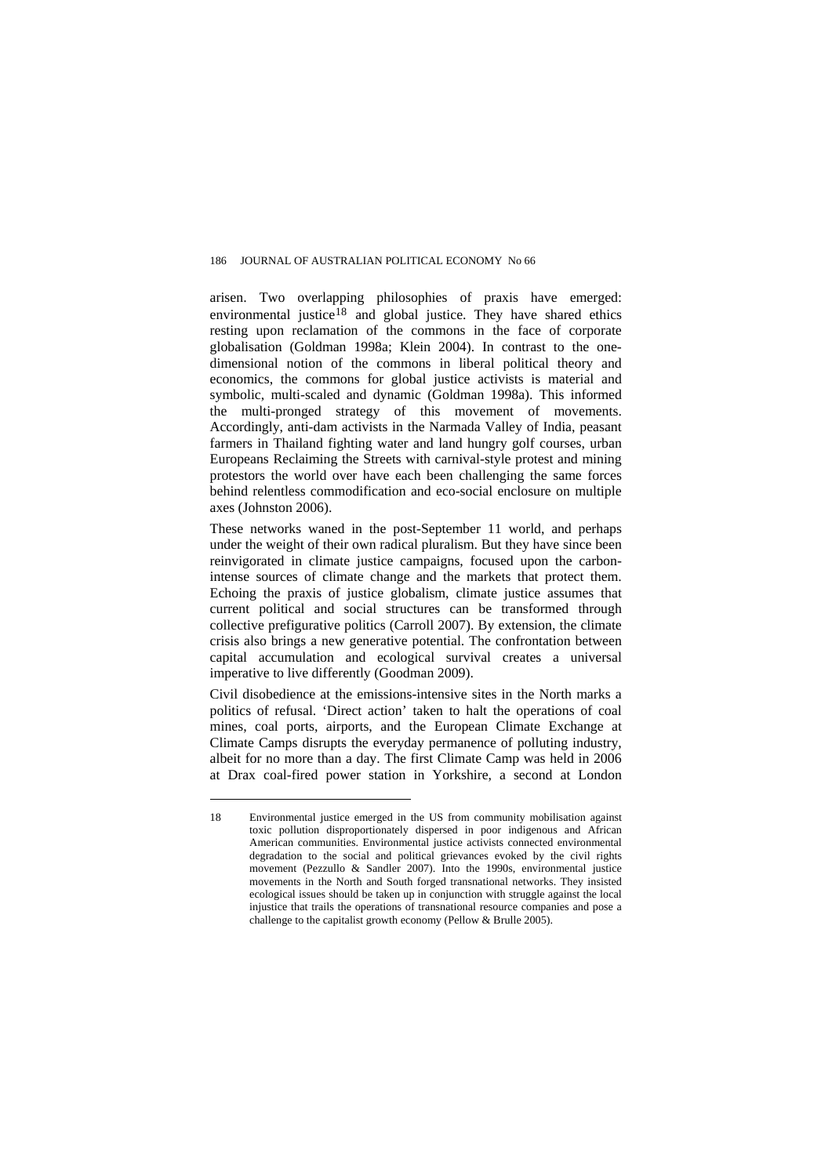arisen. Two overlapping philosophies of praxis have emerged: environmental justice<sup>[18](#page-20-0)</sup> and global justice. They have shared ethics resting upon reclamation of the commons in the face of corporate globalisation ([Goldman 1998a](#page-0-2); [Klein 2004](#page-0-2)). In contrast to the onedimensional notion of the commons in liberal political theory and economics, the commons for global justice activists is material and symbolic, multi-scaled and dynamic ([Goldman 1998a\)](#page-0-2). This informed the multi-pronged strategy of this movement of movements. Accordingly, anti-dam activists in the Narmada Valley of India, peasant farmers in Thailand fighting water and land hungry golf courses, urban Europeans Reclaiming the Streets with carnival-style protest and mining protestors the world over have each been challenging the same forces behind relentless commodification and eco-social enclosure on multiple axes ([Johnston 2006](#page-0-2)).

These networks waned in the post-September 11 world, and perhaps under the weight of their own radical pluralism. But they have since been reinvigorated in climate justice campaigns, focused upon the carbonintense sources of climate change and the markets that protect them. Echoing the praxis of justice globalism, climate justice assumes that current political and social structures can be transformed through collective prefigurative politics [\(Carroll 2007\)](#page-0-2). By extension, the climate crisis also brings a new generative potential. The confrontation between capital accumulation and ecological survival creates a universal imperative to live differently [\(Goodman 2009](#page-0-2)).

Civil disobedience at the emissions-intensive sites in the North marks a politics of refusal. 'Direct action' taken to halt the operations of coal mines, coal ports, airports, and the European Climate Exchange at Climate Camps disrupts the everyday permanence of polluting industry, albeit for no more than a day. The first Climate Camp was held in 2006 at Drax coal-fired power station in Yorkshire, a second at London

<span id="page-20-0"></span><sup>18</sup> Environmental justice emerged in the US from community mobilisation against toxic pollution disproportionately dispersed in poor indigenous and African American communities. Environmental justice activists connected environmental degradation to the social and political grievances evoked by the civil rights movement ([Pezzullo & Sandler 2007](#page-0-2)). Into the 1990s, environmental justice movements in the North and South forged transnational networks. They insisted ecological issues should be taken up in conjunction with struggle against the local injustice that trails the operations of transnational resource companies and pose a challenge to the capitalist growth economy ([Pellow & Brulle 2005](#page-0-2)).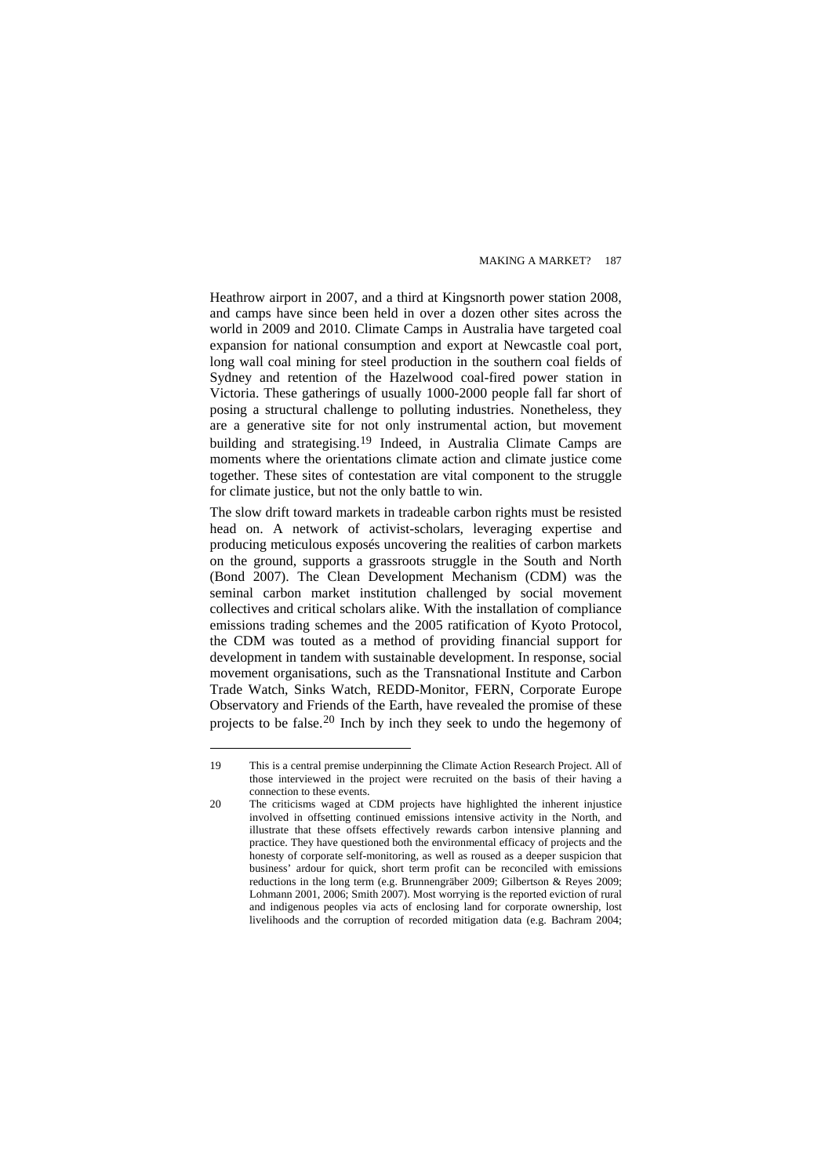Heathrow airport in 2007, and a third at Kingsnorth power station 2008, and camps have since been held in over a dozen other sites across the world in 2009 and 2010. Climate Camps in Australia have targeted coal expansion for national consumption and export at Newcastle coal port, long wall coal mining for steel production in the southern coal fields of Sydney and retention of the Hazelwood coal-fired power station in Victoria. These gatherings of usually 1000-2000 people fall far short of posing a structural challenge to polluting industries. Nonetheless, they are a generative site for not only instrumental action, but movement building and strategising.<sup>[19](#page-21-0)</sup> Indeed, in Australia Climate Camps are moments where the orientations climate action and climate justice come together. These sites of contestation are vital component to the struggle for climate justice, but not the only battle to win.

The slow drift toward markets in tradeable carbon rights must be resisted head on. A network of activist-scholars, leveraging expertise and producing meticulous exposés uncovering the realities of carbon markets on the ground, supports a grassroots struggle in the South and North ([Bond 2007](#page-0-2)). The Clean Development Mechanism (CDM) was the seminal carbon market institution challenged by social movement collectives and critical scholars alike. With the installation of compliance emissions trading schemes and the 2005 ratification of Kyoto Protocol, the CDM was touted as a method of providing financial support for development in tandem with sustainable development. In response, social movement organisations, such as the Transnational Institute and Carbon Trade Watch, Sinks Watch, REDD-Monitor, FERN, Corporate Europe Observatory and Friends of the Earth, have revealed the promise of these projects to be false.[20](#page-21-1) Inch by inch they seek to undo the hegemony of

<span id="page-21-0"></span><sup>19</sup> This is a central premise underpinning the Climate Action Research Project. All of those interviewed in the project were recruited on the basis of their having a connection to these events.

<span id="page-21-1"></span><sup>20</sup> The criticisms waged at CDM projects have highlighted the inherent injustice involved in offsetting continued emissions intensive activity in the North, and illustrate that these offsets effectively rewards carbon intensive planning and practice. They have questioned both the environmental efficacy of projects and the honesty of corporate self-monitoring, as well as roused as a deeper suspicion that business' ardour for quick, short term profit can be reconciled with emissions reductions in the long term (e.g. [Brunnengräber 2009](#page-0-2); [Gilbertson & Reyes 2009](#page-0-2); [Lohmann 2001,](#page-0-2) [2006;](#page-0-2) [Smith 2007\)](#page-0-2). Most worrying is the reported eviction of rural and indigenous peoples via acts of enclosing land for corporate ownership, lost livelihoods and the corruption of recorded mitigation data (e.g. [Bachram 2004](#page-0-2);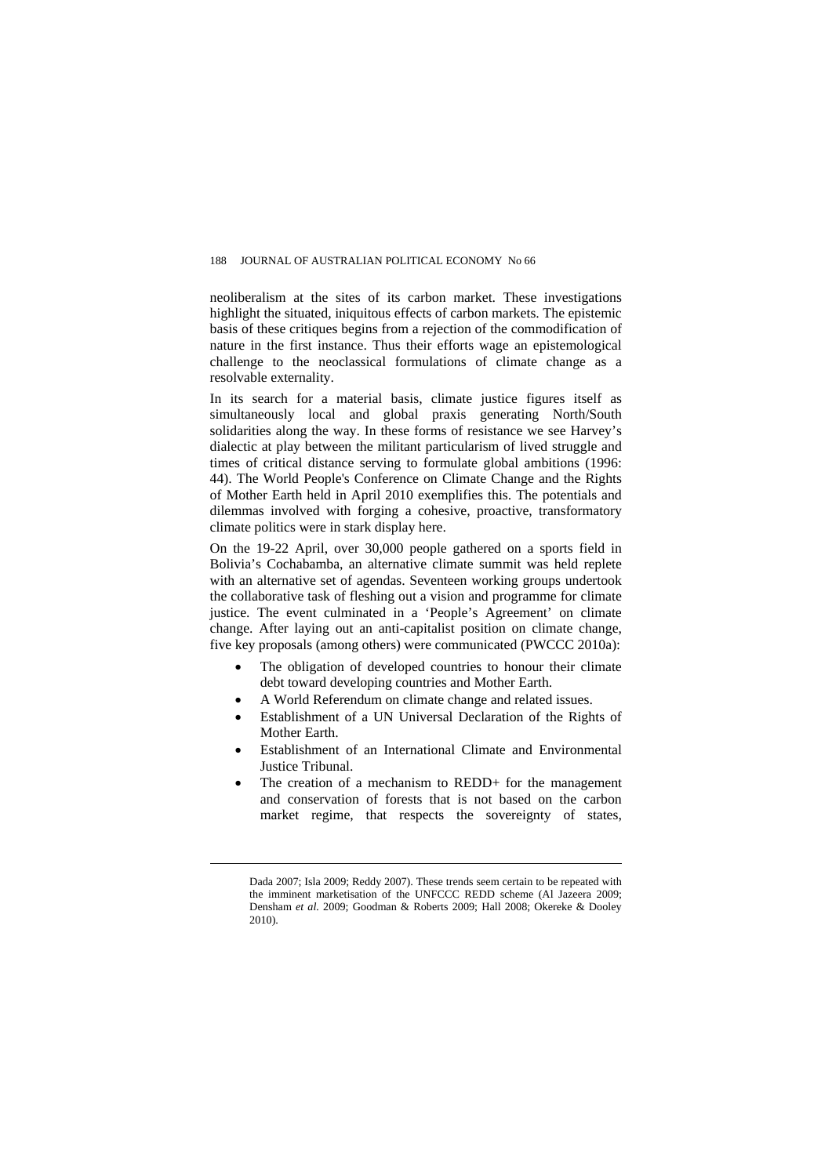neoliberalism at the sites of its carbon market. These investigations highlight the situated, iniquitous effects of carbon markets. The epistemic basis of these critiques begins from a rejection of the commodification of nature in the first instance. Thus their efforts wage an epistemological challenge to the neoclassical formulations of climate change as a resolvable externality.

In its search for a material basis, climate justice figures itself as simultaneously local and global praxis generating North/South solidarities along the way. In these forms of resistance we see Harvey's dialectic at play between the militant particularism of lived struggle and times of critical distance serving to formulate global ambitions [\(1996:](#page-0-2)  [44](#page-0-2)). The World People's Conference on Climate Change and the Rights of Mother Earth held in April 2010 exemplifies this. The potentials and dilemmas involved with forging a cohesive, proactive, transformatory climate politics were in stark display here.

On the 19-22 April, over 30,000 people gathered on a sports field in Bolivia's Cochabamba, an alternative climate summit was held replete with an alternative set of agendas. Seventeen working groups undertook the collaborative task of fleshing out a vision and programme for climate justice. The event culminated in a 'People's Agreement' on climate change. After laying out an anti-capitalist position on climate change, five key proposals (among others) were communicated [\(PWCCC 2010a](#page-0-2)):

- The obligation of developed countries to honour their climate debt toward developing countries and Mother Earth.
- A World Referendum on climate change and related issues.
- Establishment of a UN Universal Declaration of the Rights of Mother Earth.
- Establishment of an International Climate and Environmental Justice Tribunal.
- The creation of a mechanism to REDD+ for the management and conservation of forests that is not based on the carbon market regime, that respects the sovereignty of states,

[Dada 2007; Isla 2009; Reddy 2007](#page-0-2)). These trends seem certain to be repeated with the imminent marketisation of the UNFCCC REDD scheme [\(Al Jazeera 2009](#page-0-2); [Densham](#page-0-2) *et al.* 2009; [Goodman & Roberts 2009;](#page-0-2) [Hall 2008;](#page-0-2) [Okereke & Dooley](#page-0-2)  [2010\)](#page-0-2).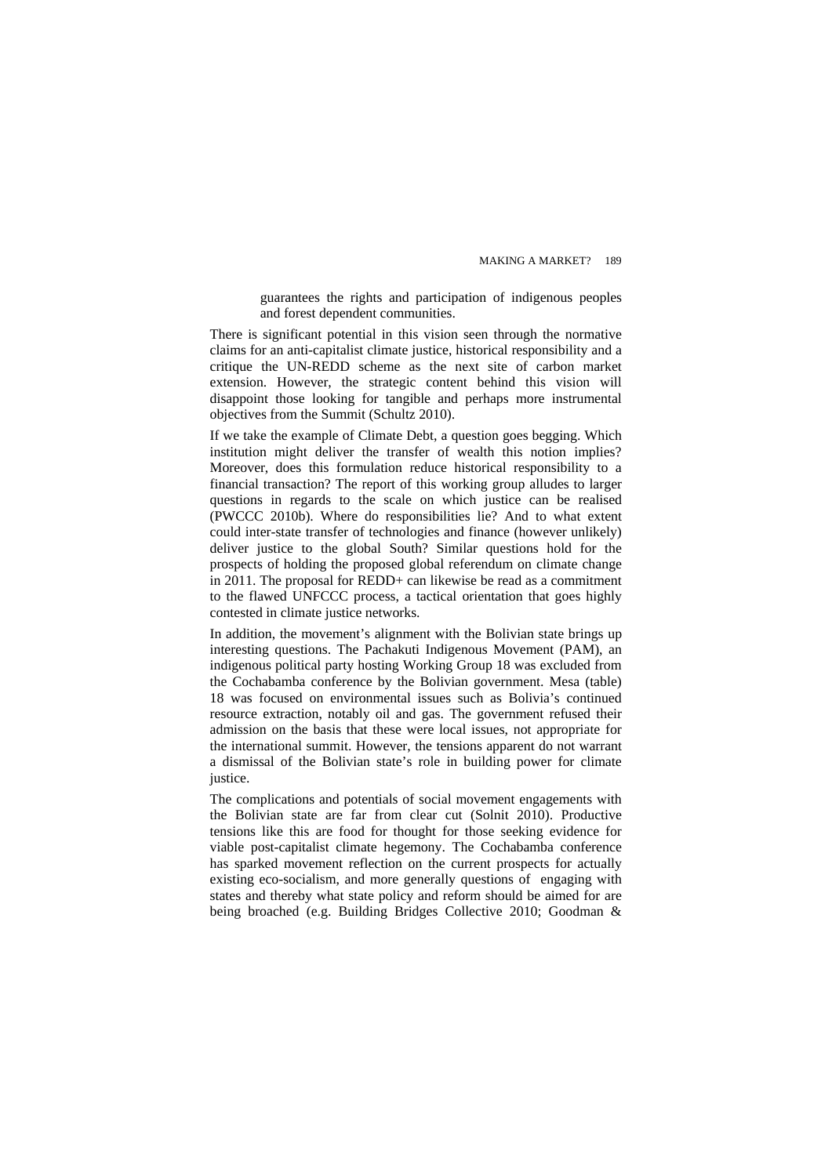guarantees the rights and participation of indigenous peoples and forest dependent communities.

There is significant potential in this vision seen through the normative claims for an anti-capitalist climate justice, historical responsibility and a critique the UN-REDD scheme as the next site of carbon market extension. However, the strategic content behind this vision will disappoint those looking for tangible and perhaps more instrumental objectives from the Summit ([Schultz 2010](#page-0-2)).

If we take the example of Climate Debt, a question goes begging. Which institution might deliver the transfer of wealth this notion implies? Moreover, does this formulation reduce historical responsibility to a financial transaction? The report of this working group alludes to larger questions in regards to the scale on which justice can be realised ([PWCCC 2010b\)](#page-0-2). Where do responsibilities lie? And to what extent could inter-state transfer of technologies and finance (however unlikely) deliver justice to the global South? Similar questions hold for the prospects of holding the proposed global referendum on climate change in 2011. The proposal for REDD+ can likewise be read as a commitment to the flawed UNFCCC process, a tactical orientation that goes highly contested in climate justice networks.

In addition, the movement's alignment with the Bolivian state brings up interesting questions. The Pachakuti Indigenous Movement (PAM), an indigenous political party hosting Working Group 18 was excluded from the Cochabamba conference by the Bolivian government. Mesa (table) 18 was focused on environmental issues such as Bolivia's continued resource extraction, notably oil and gas. The government refused their admission on the basis that these were local issues, not appropriate for the international summit. However, the tensions apparent do not warrant a dismissal of the Bolivian state's role in building power for climate justice.

The complications and potentials of social movement engagements with the Bolivian state are far from clear cut [\(Solnit 2010](#page-0-2)). Productive tensions like this are food for thought for those seeking evidence for viable post-capitalist climate hegemony. The Cochabamba conference has sparked movement reflection on the current prospects for actually existing eco-socialism, and more generally questions of engaging with states and thereby what state policy and reform should be aimed for are being broached (e.g. [Building Bridges Collective 2010](#page-0-2); [Goodman &](#page-0-2)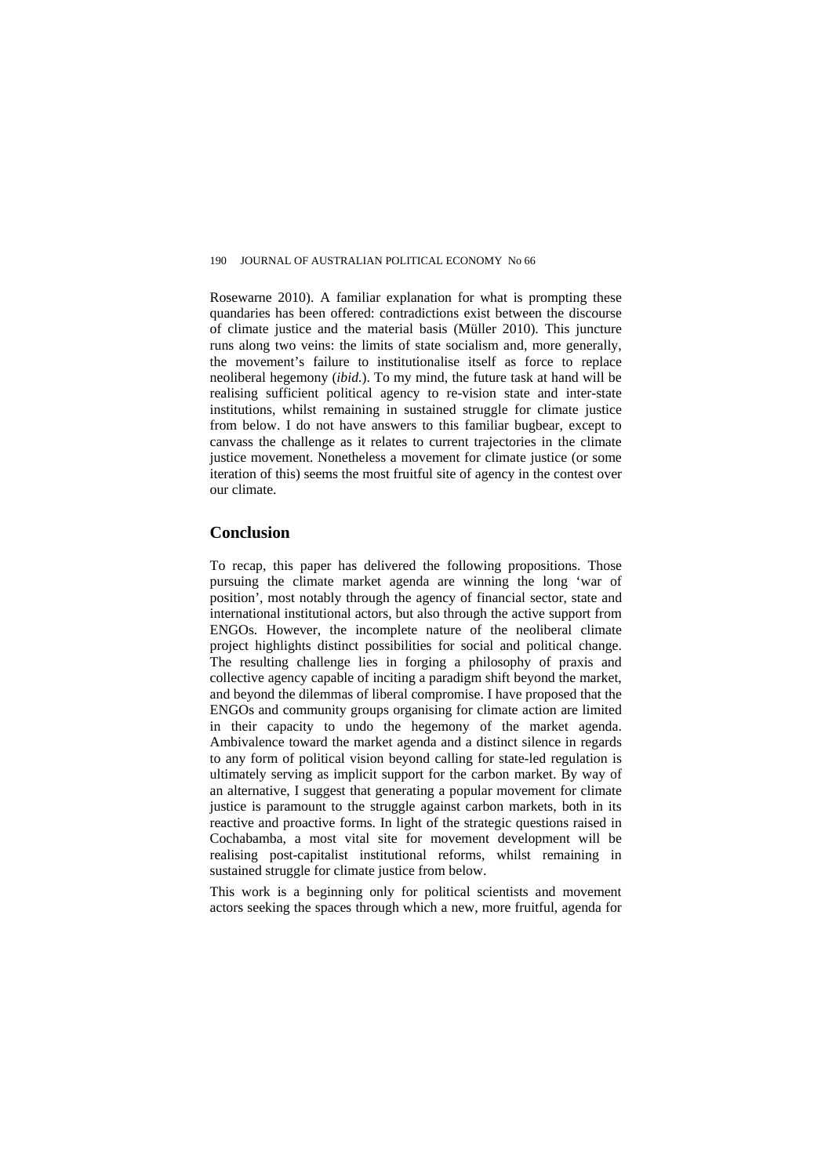[Rosewarne 2010](#page-0-2)). A familiar explanation for what is prompting these quandaries has been offered: contradictions exist between the discourse of climate justice and the material basis [\(Müller 2010\)](#page-0-2). This juncture runs along two veins: the limits of state socialism and, more generally, the movement's failure to institutionalise itself as force to replace neoliberal hegemony (*[ibid.](#page-0-2)*). To my mind, the future task at hand will be realising sufficient political agency to re-vision state and inter-state institutions, whilst remaining in sustained struggle for climate justice from below. I do not have answers to this familiar bugbear, except to canvass the challenge as it relates to current trajectories in the climate justice movement. Nonetheless a movement for climate justice (or some iteration of this) seems the most fruitful site of agency in the contest over our climate.

#### **Conclusion**

To recap, this paper has delivered the following propositions. Those pursuing the climate market agenda are winning the long 'war of position', most notably through the agency of financial sector, state and international institutional actors, but also through the active support from ENGOs. However, the incomplete nature of the neoliberal climate project highlights distinct possibilities for social and political change. The resulting challenge lies in forging a philosophy of praxis and collective agency capable of inciting a paradigm shift beyond the market, and beyond the dilemmas of liberal compromise. I have proposed that the ENGOs and community groups organising for climate action are limited in their capacity to undo the hegemony of the market agenda. Ambivalence toward the market agenda and a distinct silence in regards to any form of political vision beyond calling for state-led regulation is ultimately serving as implicit support for the carbon market. By way of an alternative, I suggest that generating a popular movement for climate justice is paramount to the struggle against carbon markets, both in its reactive and proactive forms. In light of the strategic questions raised in Cochabamba, a most vital site for movement development will be realising post-capitalist institutional reforms, whilst remaining in sustained struggle for climate justice from below.

This work is a beginning only for political scientists and movement actors seeking the spaces through which a new, more fruitful, agenda for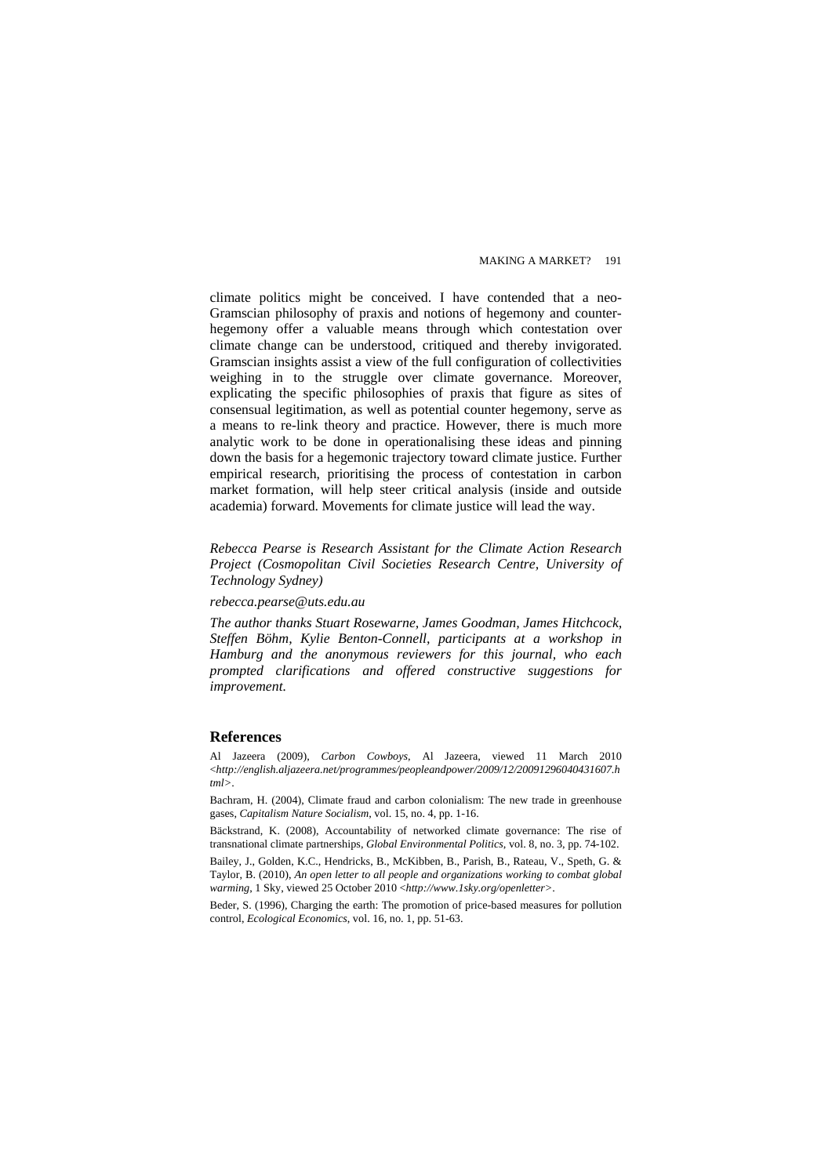climate politics might be conceived. I have contended that a neo-Gramscian philosophy of praxis and notions of hegemony and counterhegemony offer a valuable means through which contestation over climate change can be understood, critiqued and thereby invigorated. Gramscian insights assist a view of the full configuration of collectivities weighing in to the struggle over climate governance. Moreover, explicating the specific philosophies of praxis that figure as sites of consensual legitimation, as well as potential counter hegemony, serve as a means to re-link theory and practice. However, there is much more analytic work to be done in operationalising these ideas and pinning down the basis for a hegemonic trajectory toward climate justice. Further empirical research, prioritising the process of contestation in carbon market formation, will help steer critical analysis (inside and outside academia) forward. Movements for climate justice will lead the way.

*Rebecca Pearse is Research Assistant for the Climate Action Research Project (Cosmopolitan Civil Societies Research Centre, University of Technology Sydney)* 

#### *rebecca.pearse@uts.edu.au*

*The author thanks Stuart Rosewarne, James Goodman, James Hitchcock, Steffen Böhm, Kylie Benton-Connell, participants at a workshop in Hamburg and the anonymous reviewers for this journal, who each prompted clarifications and offered constructive suggestions for improvement.* 

#### **References**

Al Jazeera (2009), *Carbon Cowboys*, Al Jazeera, viewed 11 March 2010 <*[http://english.aljazeera.net/programmes/peopleandpower/2009/12/20091296040431607.h](http://english.aljazeera.net/programmes/peopleandpower/2009/12/20091296040431607.html%3e) [tml>](http://english.aljazeera.net/programmes/peopleandpower/2009/12/20091296040431607.html%3e)*.

Bachram, H. (2004), Climate fraud and carbon colonialism: The new trade in greenhouse gases, *Capitalism Nature Socialism*, vol. 15, no. 4, pp. 1-16.

Bäckstrand, K. (2008), Accountability of networked climate governance: The rise of transnational climate partnerships, *Global Environmental Politics*, vol. 8, no. 3, pp. 74-102.

Bailey, J., Golden, K.C., Hendricks, B., McKibben, B., Parish, B., Rateau, V., Speth, G. & Taylor, B. (2010), *An open letter to all people and organizations working to combat global warming*, 1 Sky, viewed 25 October 2010 <*[http://www.1sky.org/openletter>](http://www.1sky.org/openletter%3e)*.

Beder, S. (1996), Charging the earth: The promotion of price-based measures for pollution control, *Ecological Economics*, vol. 16, no. 1, pp. 51-63.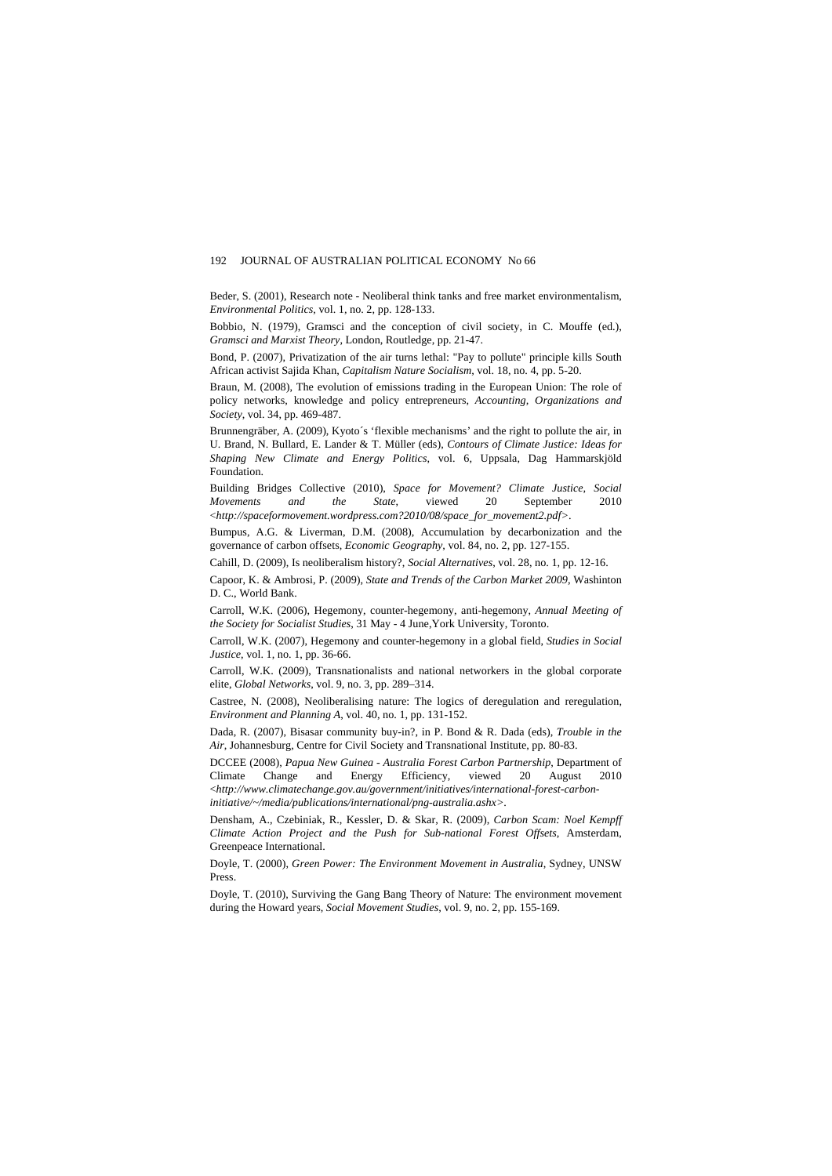Beder, S. (2001), Research note - Neoliberal think tanks and free market environmentalism, *Environmental Politics*, vol. 1, no. 2, pp. 128-133.

Bobbio, N. (1979), Gramsci and the conception of civil society, in C. Mouffe (ed.), *Gramsci and Marxist Theory*, London, Routledge, pp. 21-47.

Bond, P. (2007), Privatization of the air turns lethal: "Pay to pollute" principle kills South African activist Sajida Khan, *Capitalism Nature Socialism*, vol. 18, no. 4, pp. 5-20.

Braun, M. (2008), The evolution of emissions trading in the European Union: The role of policy networks, knowledge and policy entrepreneurs, *Accounting, Organizations and Society*, vol. 34, pp. 469-487.

Brunnengräber, A. (2009), Kyoto´s 'flexible mechanisms' and the right to pollute the air, in U. Brand, N. Bullard, E. Lander & T. Müller (eds), *Contours of Climate Justice: Ideas for Shaping New Climate and Energy Politics*, vol. 6, Uppsala, Dag Hammarskjöld Foundation.

Building Bridges Collective (2010), *Space for Movement? Climate Justice, Social Movements and the State*, viewed 20 September 2010 <*[http://spaceformovement.wordpress.com?2010/08/space\\_for\\_movement2.pdf>](http://spaceformovement.wordpress.com/?2010/08/space_for_movement2.pdf%3e)*.

Bumpus, A.G. & Liverman, D.M. (2008), Accumulation by decarbonization and the governance of carbon offsets, *Economic Geography*, vol. 84, no. 2, pp. 127-155.

Cahill, D. (2009), Is neoliberalism history?, *Social Alternatives*, vol. 28, no. 1, pp. 12-16.

Capoor, K. & Ambrosi, P. (2009), *State and Trends of the Carbon Market 2009*, Washinton D. C., World Bank.

Carroll, W.K. (2006), Hegemony, counter-hegemony, anti-hegemony, *Annual Meeting of the Society for Socialist Studies*, 31 May - 4 June,York University, Toronto.

Carroll, W.K. (2007), Hegemony and counter-hegemony in a global field, *Studies in Social Justice*, vol. 1, no. 1, pp. 36-66.

Carroll, W.K. (2009), Transnationalists and national networkers in the global corporate elite, *Global Networks*, vol. 9, no. 3, pp. 289–314.

Castree, N. (2008), Neoliberalising nature: The logics of deregulation and reregulation, *Environment and Planning A*, vol. 40, no. 1, pp. 131-152.

Dada, R. (2007), Bisasar community buy-in?, in P. Bond & R. Dada (eds), *Trouble in the Air*, Johannesburg, Centre for Civil Society and Transnational Institute, pp. 80-83.

DCCEE (2008), *Papua New Guinea - Australia Forest Carbon Partnership*, Department of Climate Change and Energy Efficiency, viewed 20 August 2010 <*[http://www.climatechange.gov.au/government/initiatives/international-forest-carbon](http://www.climatechange.gov.au/government/initiatives/international-forest-carbon-initiative/%7E/media/publications/international/png-australia.ashx%3e)[initiative/~/media/publications/international/png-australia.ashx>](http://www.climatechange.gov.au/government/initiatives/international-forest-carbon-initiative/%7E/media/publications/international/png-australia.ashx%3e)*.

Densham, A., Czebiniak, R., Kessler, D. & Skar, R. (2009), *Carbon Scam: Noel Kempff Climate Action Project and the Push for Sub-national Forest Offsets*, Amsterdam, Greenpeace International.

Doyle, T. (2000), *Green Power: The Environment Movement in Australia*, Sydney, UNSW Press.

Doyle, T. (2010), Surviving the Gang Bang Theory of Nature: The environment movement during the Howard years, *Social Movement Studies*, vol. 9, no. 2, pp. 155-169.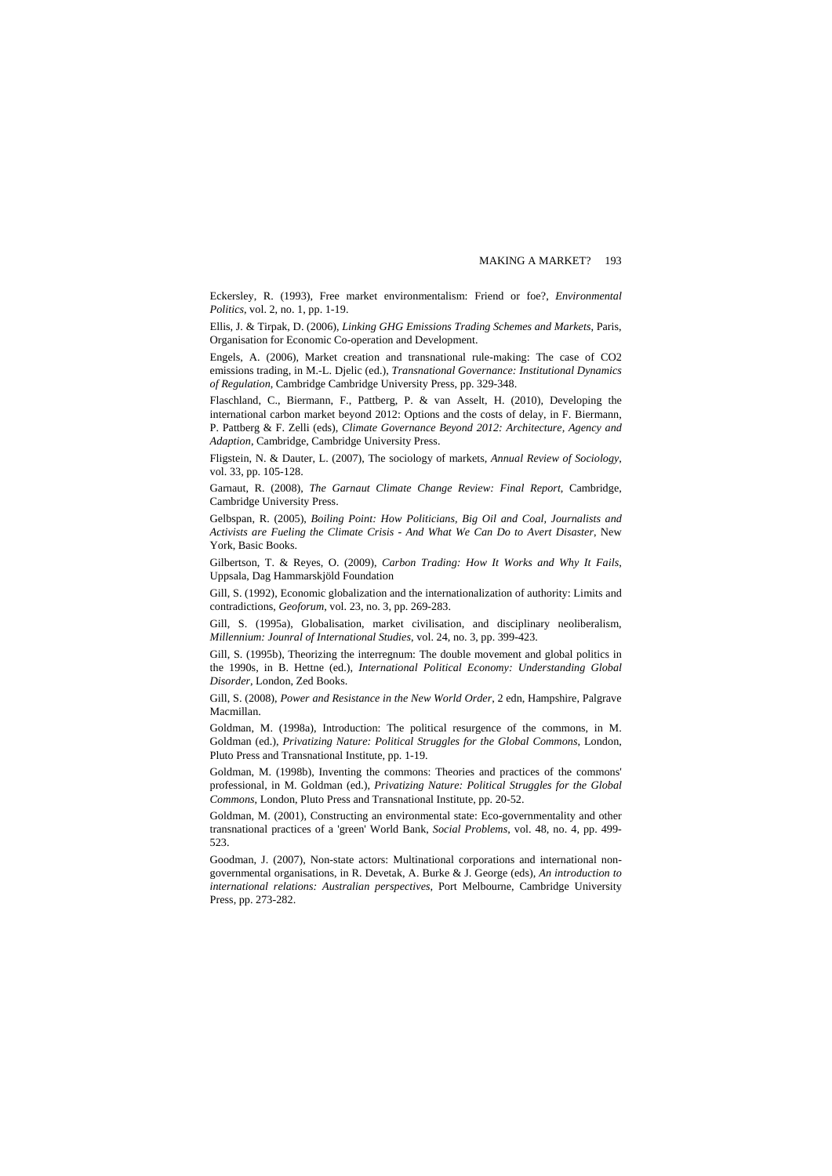Eckersley, R. (1993), Free market environmentalism: Friend or foe?, *Environmental Politics*, vol. 2, no. 1, pp. 1-19.

Ellis, J. & Tirpak, D. (2006), *Linking GHG Emissions Trading Schemes and Markets*, Paris, Organisation for Economic Co-operation and Development.

Engels, A. (2006), Market creation and transnational rule-making: The case of CO2 emissions trading, in M.-L. Djelic (ed.), *Transnational Governance: Institutional Dynamics of Regulation*, Cambridge Cambridge University Press, pp. 329-348.

Flaschland, C., Biermann, F., Pattberg, P. & van Asselt, H. (2010), Developing the international carbon market beyond 2012: Options and the costs of delay, in F. Biermann, P. Pattberg & F. Zelli (eds), *Climate Governance Beyond 2012: Architecture, Agency and Adaption*, Cambridge, Cambridge University Press.

Fligstein, N. & Dauter, L. (2007), The sociology of markets, *Annual Review of Sociology*, vol. 33, pp. 105-128.

Garnaut, R. (2008), *The Garnaut Climate Change Review: Final Report*, Cambridge, Cambridge University Press.

Gelbspan, R. (2005), *Boiling Point: How Politicians, Big Oil and Coal, Journalists and Activists are Fueling the Climate Crisis - And What We Can Do to Avert Disaster*, New York, Basic Books.

Gilbertson, T. & Reyes, O. (2009), *Carbon Trading: How It Works and Why It Fails*, Uppsala, Dag Hammarskjöld Foundation

Gill, S. (1992), Economic globalization and the internationalization of authority: Limits and contradictions, *Geoforum*, vol. 23, no. 3, pp. 269-283.

Gill, S. (1995a), Globalisation, market civilisation, and disciplinary neoliberalism, *Millennium: Jounral of International Studies*, vol. 24, no. 3, pp. 399-423.

Gill, S. (1995b), Theorizing the interregnum: The double movement and global politics in the 1990s, in B. Hettne (ed.), *International Political Economy: Understanding Global Disorder*, London, Zed Books.

Gill, S. (2008), *Power and Resistance in the New World Order*, 2 edn, Hampshire, Palgrave Macmillan.

Goldman, M. (1998a), Introduction: The political resurgence of the commons, in M. Goldman (ed.), *Privatizing Nature: Political Struggles for the Global Commons*, London, Pluto Press and Transnational Institute, pp. 1-19.

Goldman, M. (1998b), Inventing the commons: Theories and practices of the commons' professional, in M. Goldman (ed.), *Privatizing Nature: Political Struggles for the Global Commons*, London, Pluto Press and Transnational Institute, pp. 20-52.

Goldman, M. (2001), Constructing an environmental state: Eco-governmentality and other transnational practices of a 'green' World Bank, *Social Problems*, vol. 48, no. 4, pp. 499- 523.

Goodman, J. (2007), Non-state actors: Multinational corporations and international nongovernmental organisations, in R. Devetak, A. Burke & J. George (eds), *An introduction to international relations: Australian perspectives*, Port Melbourne, Cambridge University Press, pp. 273-282.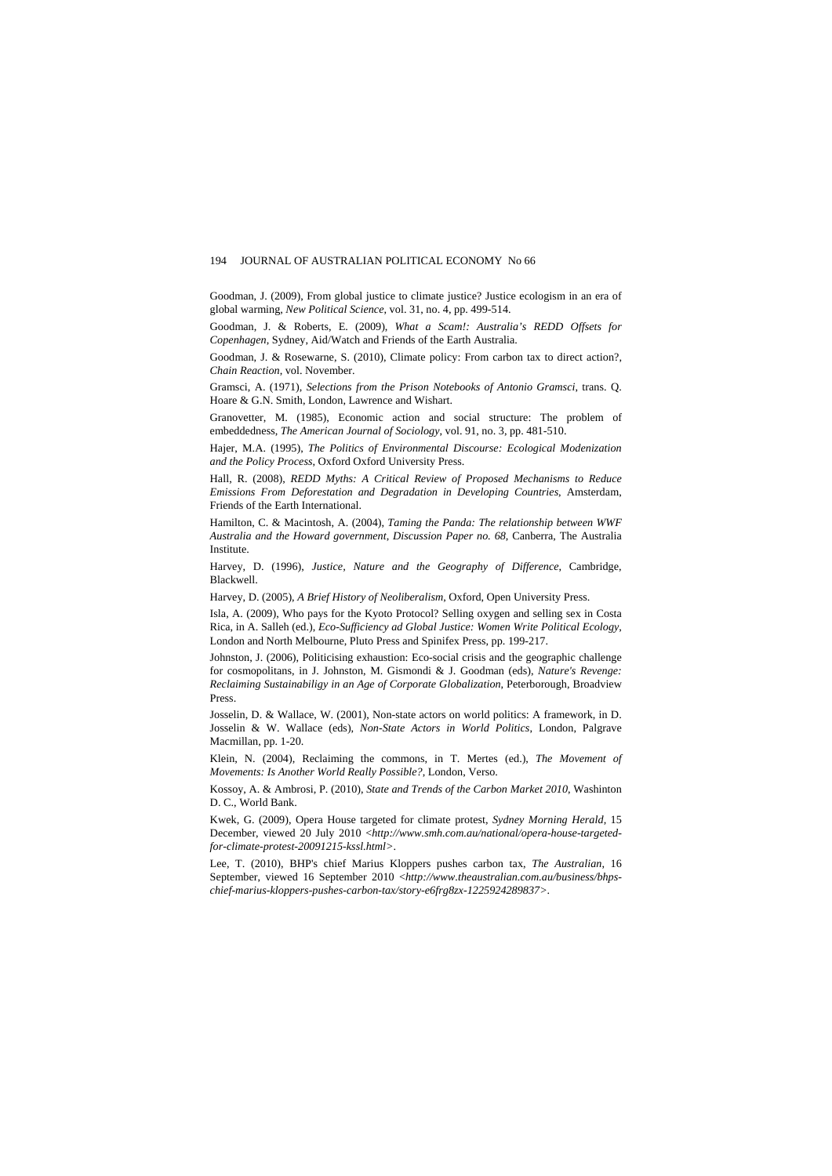Goodman, J. (2009), From global justice to climate justice? Justice ecologism in an era of global warming, *New Political Science*, vol. 31, no. 4, pp. 499-514.

Goodman, J. & Roberts, E. (2009), *What a Scam!: Australia's REDD Offsets for Copenhagen*, Sydney, Aid/Watch and Friends of the Earth Australia.

Goodman, J. & Rosewarne, S. (2010), Climate policy: From carbon tax to direct action?, *Chain Reaction*, vol. November.

Gramsci, A. (1971), *Selections from the Prison Notebooks of Antonio Gramsci*, trans. Q. Hoare & G.N. Smith, London, Lawrence and Wishart.

Granovetter, M. (1985), Economic action and social structure: The problem of embeddedness, *The American Journal of Sociology*, vol. 91, no. 3, pp. 481-510.

Hajer, M.A. (1995), *The Politics of Environmental Discourse: Ecological Modenization and the Policy Process*, Oxford Oxford University Press.

Hall, R. (2008), *REDD Myths: A Critical Review of Proposed Mechanisms to Reduce Emissions From Deforestation and Degradation in Developing Countries*, Amsterdam, Friends of the Earth International.

Hamilton, C. & Macintosh, A. (2004), *Taming the Panda: The relationship between WWF Australia and the Howard government*, *Discussion Paper no. 68*, Canberra, The Australia Institute.

Harvey, D. (1996), *Justice, Nature and the Geography of Difference*, Cambridge, Blackwell.

Harvey, D. (2005), *A Brief History of Neoliberalism*, Oxford, Open University Press.

Isla, A. (2009), Who pays for the Kyoto Protocol? Selling oxygen and selling sex in Costa Rica, in A. Salleh (ed.), *Eco-Sufficiency ad Global Justice: Women Write Political Ecology*, London and North Melbourne, Pluto Press and Spinifex Press, pp. 199-217.

Johnston, J. (2006), Politicising exhaustion: Eco-social crisis and the geographic challenge for cosmopolitans, in J. Johnston, M. Gismondi & J. Goodman (eds), *Nature's Revenge: Reclaiming Sustainabiligy in an Age of Corporate Globalization*, Peterborough, Broadview Press.

Josselin, D. & Wallace, W. (2001), Non-state actors on world politics: A framework, in D. Josselin & W. Wallace (eds), *Non-State Actors in World Politics*, London, Palgrave Macmillan, pp. 1-20.

Klein, N. (2004), Reclaiming the commons, in T. Mertes (ed.), *The Movement of Movements: Is Another World Really Possible?*, London, Verso.

Kossoy, A. & Ambrosi, P. (2010), *State and Trends of the Carbon Market 2010*, Washinton D. C., World Bank.

Kwek, G. (2009), Opera House targeted for climate protest, *Sydney Morning Herald*, 15 December, viewed 20 July 2010 <*[http://www.smh.com.au/national/opera-house-targeted](http://www.smh.com.au/national/opera-house-targeted-for-climate-protest-20091215-kssl.html%3e)[for-climate-protest-20091215-kssl.html>](http://www.smh.com.au/national/opera-house-targeted-for-climate-protest-20091215-kssl.html%3e)*.

Lee, T. (2010), BHP's chief Marius Kloppers pushes carbon tax, *The Australian*, 16 September, viewed 16 September 2010 <*[http://www.theaustralian.com.au/business/bhps](http://www.theaustralian.com.au/business/bhps-chief-marius-kloppers-pushes-carbon-tax/story-e6frg8zx-1225924289837%3e)[chief-marius-kloppers-pushes-carbon-tax/story-e6frg8zx-1225924289837>](http://www.theaustralian.com.au/business/bhps-chief-marius-kloppers-pushes-carbon-tax/story-e6frg8zx-1225924289837%3e)*.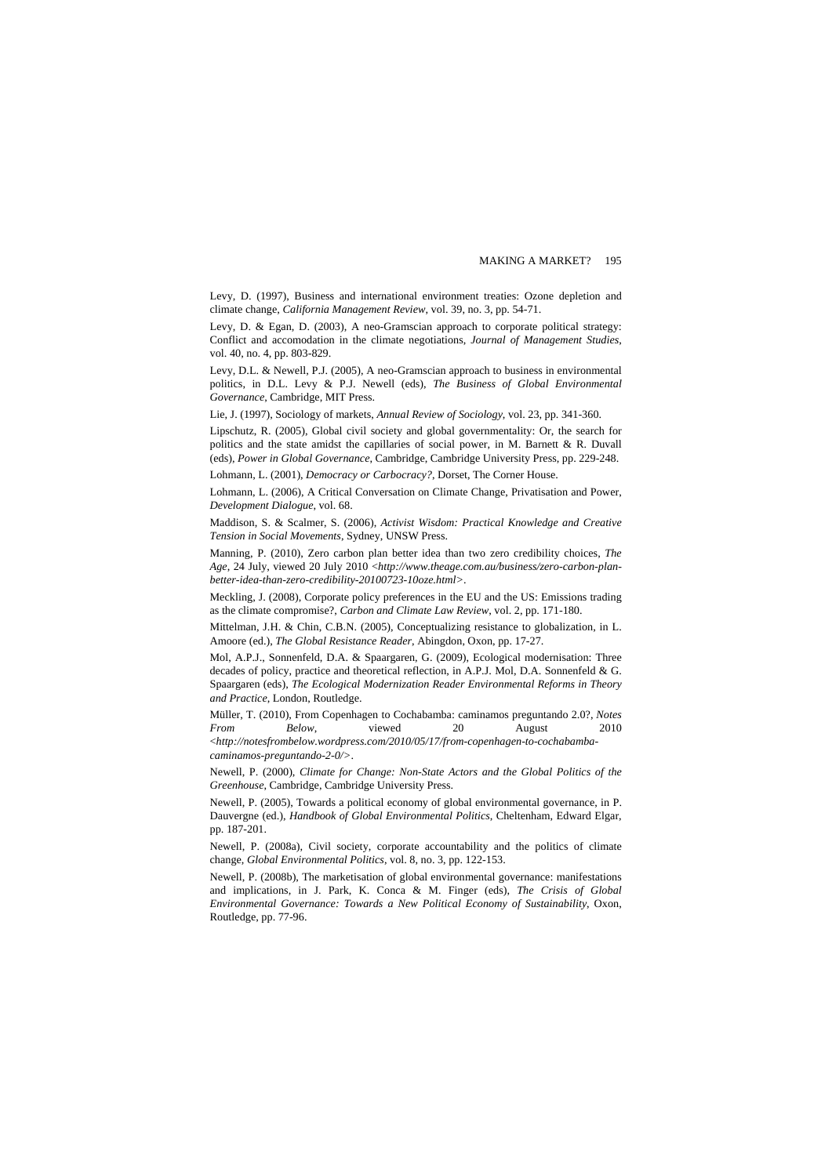Levy, D. (1997), Business and international environment treaties: Ozone depletion and climate change, *California Management Review*, vol. 39, no. 3, pp. 54-71.

Levy, D. & Egan, D. (2003), A neo-Gramscian approach to corporate political strategy: Conflict and accomodation in the climate negotiations, *Journal of Management Studies*, vol. 40, no. 4, pp. 803-829.

Levy, D.L. & Newell, P.J. (2005), A neo-Gramscian approach to business in environmental politics, in D.L. Levy & P.J. Newell (eds), *The Business of Global Environmental Governance*, Cambridge, MIT Press.

Lie, J. (1997), Sociology of markets, *Annual Review of Sociology*, vol. 23, pp. 341-360.

Lipschutz, R. (2005), Global civil society and global governmentality: Or, the search for politics and the state amidst the capillaries of social power, in M. Barnett & R. Duvall (eds), *Power in Global Governance*, Cambridge, Cambridge University Press, pp. 229-248.

Lohmann, L. (2001), *Democracy or Carbocracy?*, Dorset, The Corner House.

Lohmann, L. (2006), A Critical Conversation on Climate Change, Privatisation and Power, *Development Dialogue*, vol. 68.

Maddison, S. & Scalmer, S. (2006), *Activist Wisdom: Practical Knowledge and Creative Tension in Social Movements*, Sydney, UNSW Press.

Manning, P. (2010), Zero carbon plan better idea than two zero credibility choices, *The Age*, 24 July, viewed 20 July 2010 <*[http://www.theage.com.au/business/zero-carbon-plan](http://www.theage.com.au/business/zero-carbon-plan-better-idea-than-zero-credibility-20100723-10oze.html%3e)[better-idea-than-zero-credibility-20100723-10oze.html>](http://www.theage.com.au/business/zero-carbon-plan-better-idea-than-zero-credibility-20100723-10oze.html%3e)*.

Meckling, J. (2008), Corporate policy preferences in the EU and the US: Emissions trading as the climate compromise?, *Carbon and Climate Law Review*, vol. 2, pp. 171-180.

Mittelman, J.H. & Chin, C.B.N. (2005), Conceptualizing resistance to globalization, in L. Amoore (ed.), *The Global Resistance Reader*, Abingdon, Oxon, pp. 17-27.

Mol, A.P.J., Sonnenfeld, D.A. & Spaargaren, G. (2009), Ecological modernisation: Three decades of policy, practice and theoretical reflection, in A.P.J. Mol, D.A. Sonnenfeld & G. Spaargaren (eds), *The Ecological Modernization Reader Environmental Reforms in Theory and Practice*, London, Routledge.

Müller, T. (2010), From Copenhagen to Cochabamba: caminamos preguntando 2.0?, *Notes From Below*, viewed 20 August 2010 <*[http://notesfrombelow.wordpress.com/2010/05/17/from-copenhagen-to-cochabamba](http://notesfrombelow.wordpress.com/2010/05/17/from-copenhagen-to-cochabamba-caminamos-preguntando-2-0/%3e)[caminamos-preguntando-2-0/>](http://notesfrombelow.wordpress.com/2010/05/17/from-copenhagen-to-cochabamba-caminamos-preguntando-2-0/%3e)*.

Newell, P. (2000), *Climate for Change: Non-State Actors and the Global Politics of the Greenhouse*, Cambridge, Cambridge University Press.

Newell, P. (2005), Towards a political economy of global environmental governance, in P. Dauvergne (ed.), *Handbook of Global Environmental Politics*, Cheltenham, Edward Elgar, pp. 187-201.

Newell, P. (2008a), Civil society, corporate accountability and the politics of climate change, *Global Environmental Politics*, vol. 8, no. 3, pp. 122-153.

Newell, P. (2008b), The marketisation of global environmental governance: manifestations and implications, in J. Park, K. Conca & M. Finger (eds), *The Crisis of Global Environmental Governance: Towards a New Political Economy of Sustainability*, Oxon, Routledge, pp. 77-96.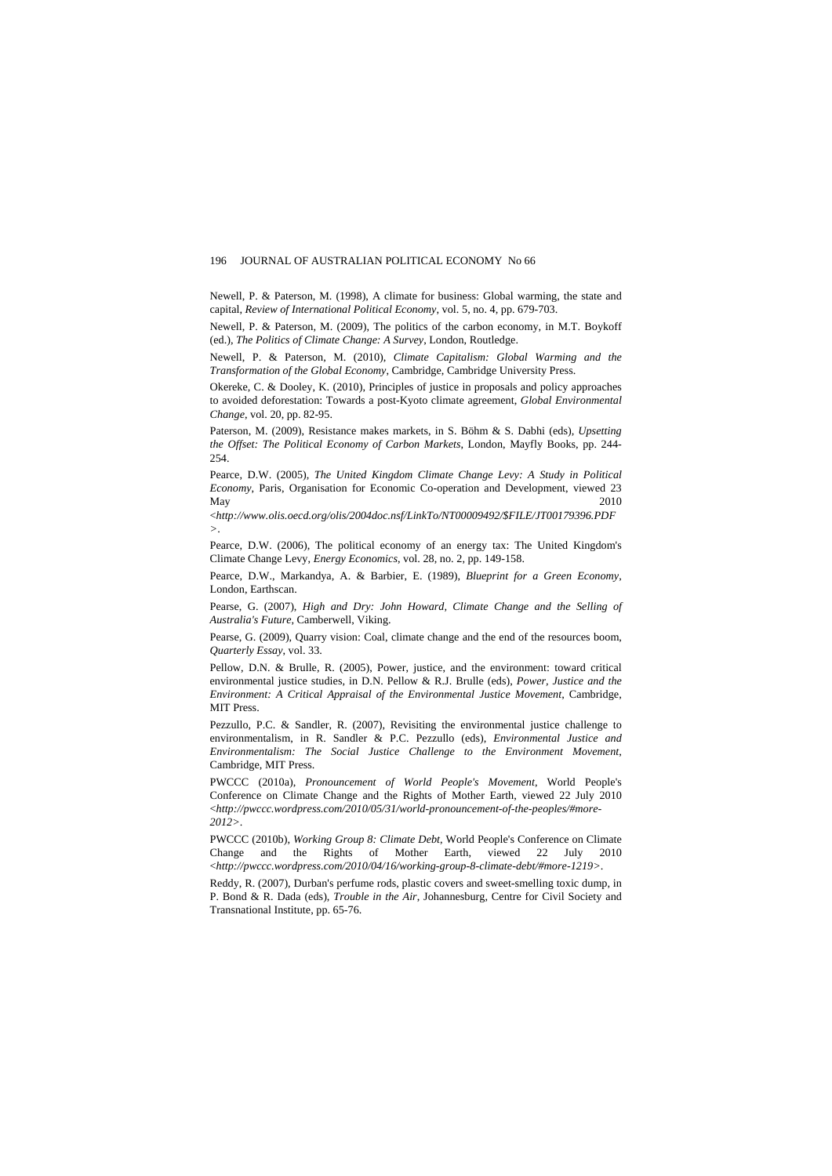Newell, P. & Paterson, M. (1998), A climate for business: Global warming, the state and capital, *Review of International Political Economy*, vol. 5, no. 4, pp. 679-703.

Newell, P. & Paterson, M. (2009), The politics of the carbon economy, in M.T. Boykoff (ed.), *The Politics of Climate Change: A Survey*, London, Routledge.

Newell, P. & Paterson, M. (2010), *Climate Capitalism: Global Warming and the Transformation of the Global Economy*, Cambridge, Cambridge University Press.

Okereke, C. & Dooley, K. (2010), Principles of justice in proposals and policy approaches to avoided deforestation: Towards a post-Kyoto climate agreement, *Global Environmental Change*, vol. 20, pp. 82-95.

Paterson, M. (2009), Resistance makes markets, in S. Böhm & S. Dabhi (eds), *Upsetting the Offset: The Political Economy of Carbon Markets*, London, Mayfly Books, pp. 244- 254.

Pearce, D.W. (2005), *The United Kingdom Climate Change Levy: A Study in Political Economy*, Paris, Organisation for Economic Co-operation and Development, viewed 23 May 2010

<*[http://www.olis.oecd.org/olis/2004doc.nsf/LinkTo/NT00009492/\\$FILE/JT00179396.PDF](http://www.olis.oecd.org/olis/2004doc.nsf/LinkTo/NT00009492/$FILE/JT00179396.PDF%3e) [>](http://www.olis.oecd.org/olis/2004doc.nsf/LinkTo/NT00009492/$FILE/JT00179396.PDF%3e)*.

Pearce, D.W. (2006), The political economy of an energy tax: The United Kingdom's Climate Change Levy, *Energy Economics*, vol. 28, no. 2, pp. 149-158.

Pearce, D.W., Markandya, A. & Barbier, E. (1989), *Blueprint for a Green Economy*, London, Earthscan.

Pearse, G. (2007), *High and Dry: John Howard, Climate Change and the Selling of Australia's Future*, Camberwell, Viking.

Pearse, G. (2009), Quarry vision: Coal, climate change and the end of the resources boom, *Quarterly Essay*, vol. 33.

Pellow, D.N. & Brulle, R. (2005), Power, justice, and the environment: toward critical environmental justice studies, in D.N. Pellow & R.J. Brulle (eds), *Power, Justice and the Environment: A Critical Appraisal of the Environmental Justice Movement*, Cambridge, MIT Press.

Pezzullo, P.C. & Sandler, R. (2007), Revisiting the environmental justice challenge to environmentalism, in R. Sandler & P.C. Pezzullo (eds), *Environmental Justice and Environmentalism: The Social Justice Challenge to the Environment Movement*, Cambridge, MIT Press.

PWCCC (2010a), *Pronouncement of World People's Movement*, World People's Conference on Climate Change and the Rights of Mother Earth, viewed 22 July 2010 <*[http://pwccc.wordpress.com/2010/05/31/world-pronouncement-of-the-peoples/#more-](http://pwccc.wordpress.com/2010/05/31/world-pronouncement-of-the-peoples/#more-2012>)[2012>](http://pwccc.wordpress.com/2010/05/31/world-pronouncement-of-the-peoples/#more-2012>)*.

PWCCC (2010b), *Working Group 8: Climate Debt*, World People's Conference on Climate Change and the Rights of Mother Earth, viewed 22 July 2010 <*<http://pwccc.wordpress.com/2010/04/16/working-group-8-climate-debt/#more-1219>>*.

Reddy, R. (2007), Durban's perfume rods, plastic covers and sweet-smelling toxic dump, in P. Bond & R. Dada (eds), *Trouble in the Air*, Johannesburg, Centre for Civil Society and Transnational Institute, pp. 65-76.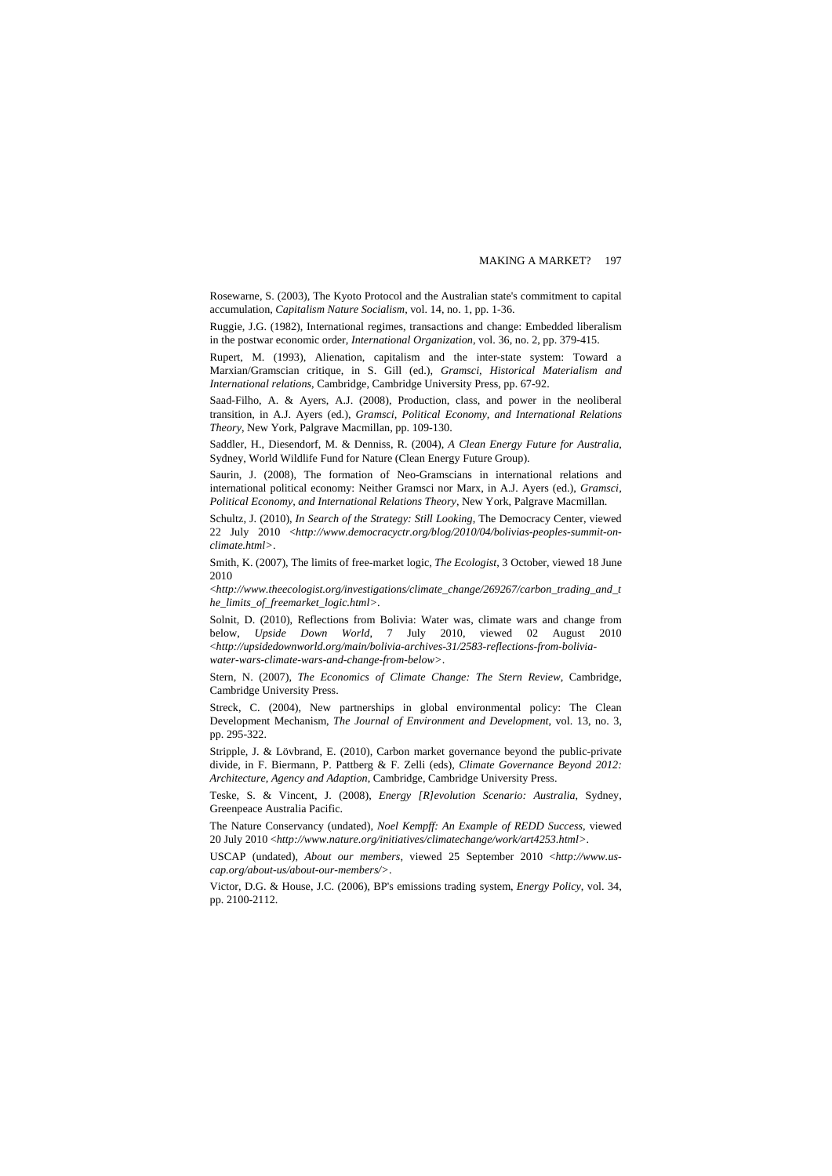Rosewarne, S. (2003), The Kyoto Protocol and the Australian state's commitment to capital accumulation, *Capitalism Nature Socialism*, vol. 14, no. 1, pp. 1-36.

Ruggie, J.G. (1982), International regimes, transactions and change: Embedded liberalism in the postwar economic order, *International Organization*, vol. 36, no. 2, pp. 379-415.

Rupert, M. (1993), Alienation, capitalism and the inter-state system: Toward a Marxian/Gramscian critique, in S. Gill (ed.), *Gramsci, Historical Materialism and International relations*, Cambridge, Cambridge University Press, pp. 67-92.

Saad-Filho, A. & Ayers, A.J. (2008), Production, class, and power in the neoliberal transition, in A.J. Ayers (ed.), *Gramsci, Political Economy, and International Relations Theory*, New York, Palgrave Macmillan, pp. 109-130.

Saddler, H., Diesendorf, M. & Denniss, R. (2004), *A Clean Energy Future for Australia*, Sydney, World Wildlife Fund for Nature (Clean Energy Future Group).

Saurin, J. (2008), The formation of Neo-Gramscians in international relations and international political economy: Neither Gramsci nor Marx, in A.J. Ayers (ed.), *Gramsci, Political Economy, and International Relations Theory*, New York, Palgrave Macmillan.

Schultz, J. (2010), *In Search of the Strategy: Still Looking*, The Democracy Center, viewed 22 July 2010 <*[http://www.democracyctr.org/blog/2010/04/bolivias-peoples-summit-on](http://www.democracyctr.org/blog/2010/04/bolivias-peoples-summit-on-climate.html%3e)[climate.html>](http://www.democracyctr.org/blog/2010/04/bolivias-peoples-summit-on-climate.html%3e)*.

Smith, K. (2007), The limits of free-market logic, *The Ecologist*, 3 October, viewed 18 June 2010

<*[http://www.theecologist.org/investigations/climate\\_change/269267/carbon\\_trading\\_and\\_t](http://www.theecologist.org/investigations/climate_change/269267/carbon_trading_and_the_limits_of_freemarket_logic.html%3e) [he\\_limits\\_of\\_freemarket\\_logic.html>](http://www.theecologist.org/investigations/climate_change/269267/carbon_trading_and_the_limits_of_freemarket_logic.html%3e)*.

Solnit, D. (2010), Reflections from Bolivia: Water was, climate wars and change from below, *Upside Down World*, 7 July 2010, viewed 02 August 2010 <*[http://upsidedownworld.org/main/bolivia-archives-31/2583-reflections-from-bolivia](http://upsidedownworld.org/main/bolivia-archives-31/2583-reflections-from-bolivia-water-wars-climate-wars-and-change-from-below%3e)[water-wars-climate-wars-and-change-from-below>](http://upsidedownworld.org/main/bolivia-archives-31/2583-reflections-from-bolivia-water-wars-climate-wars-and-change-from-below%3e)*.

Stern, N. (2007), *The Economics of Climate Change: The Stern Review*, Cambridge, Cambridge University Press.

Streck, C. (2004), New partnerships in global environmental policy: The Clean Development Mechanism, *The Journal of Environment and Development*, vol. 13, no. 3, pp. 295-322.

Stripple, J. & Lövbrand, E. (2010), Carbon market governance beyond the public-private divide, in F. Biermann, P. Pattberg & F. Zelli (eds), *Climate Governance Beyond 2012: Architecture, Agency and Adaption*, Cambridge, Cambridge University Press.

Teske, S. & Vincent, J. (2008), *Energy [R]evolution Scenario: Australia*, Sydney, Greenpeace Australia Pacific.

The Nature Conservancy (undated), *Noel Kempff: An Example of REDD Success*, viewed 20 July 2010 <*[http://www.nature.org/initiatives/climatechange/work/art4253.html>](http://www.nature.org/initiatives/climatechange/work/art4253.html%3e)*.

USCAP (undated), *About our members*, viewed 25 September 2010 <*[http://www.us](http://www.us-cap.org/about-us/about-our-members/%3e)[cap.org/about-us/about-our-members/>](http://www.us-cap.org/about-us/about-our-members/%3e)*.

Victor, D.G. & House, J.C. (2006), BP's emissions trading system, *Energy Policy*, vol. 34, pp. 2100-2112.